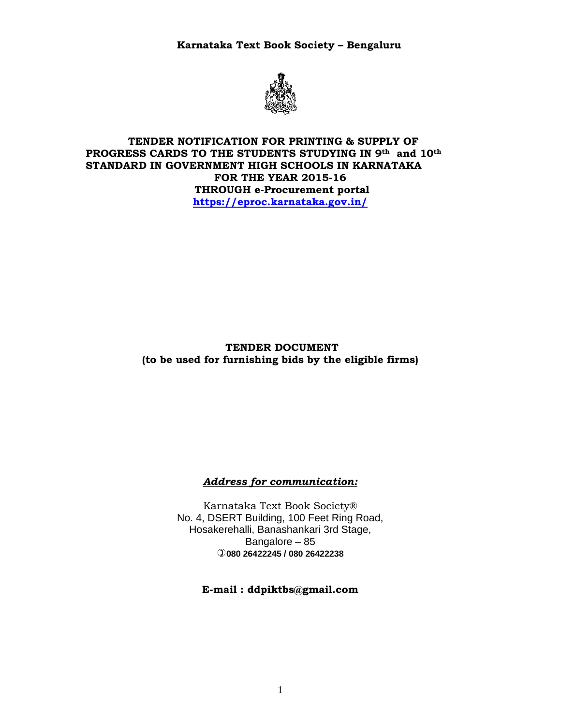**Karnataka Text Book Society – Bengaluru** 



### **TENDER NOTIFICATION FOR PRINTING & SUPPLY OF PROGRESS CARDS TO THE STUDENTS STUDYING IN 9th and 10th STANDARD IN GOVERNMENT HIGH SCHOOLS IN KARNATAKA FOR THE YEAR 2015-16 THROUGH e-Procurement portal https://eproc.karnataka.gov.in/**

## **TENDER DOCUMENT (to be used for furnishing bids by the eligible firms)**

## *Address for communication:*

Karnataka Text Book Society® No. 4, DSERT Building, 100 Feet Ring Road, Hosakerehalli, Banashankari 3rd Stage, Bangalore – 85 **080 26422245 / 080 26422238** 

## **E-mail : ddpiktbs@gmail.com**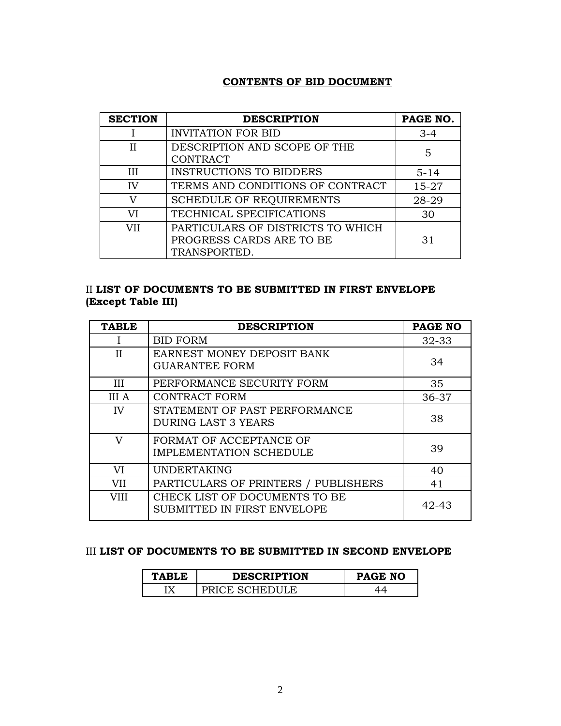## **CONTENTS OF BID DOCUMENT**

| <b>SECTION</b> | <b>DESCRIPTION</b>                                                            | PAGE NO. |
|----------------|-------------------------------------------------------------------------------|----------|
|                | <b>INVITATION FOR BID</b>                                                     | $3-4$    |
| Н              | DESCRIPTION AND SCOPE OF THE<br><b>CONTRACT</b>                               | 5        |
| III            | <b>INSTRUCTIONS TO BIDDERS</b>                                                | $5 - 14$ |
| IV             | TERMS AND CONDITIONS OF CONTRACT                                              | 15-27    |
| V              | <b>SCHEDULE OF REQUIREMENTS</b>                                               | 28-29    |
| VI             | TECHNICAL SPECIFICATIONS                                                      | 30       |
| <b>VII</b>     | PARTICULARS OF DISTRICTS TO WHICH<br>PROGRESS CARDS ARE TO BE<br>TRANSPORTED. | 31       |

# II **LIST OF DOCUMENTS TO BE SUBMITTED IN FIRST ENVELOPE (Except Table III)**

| <b>TABLE</b> | <b>DESCRIPTION</b>                                           | PAGE NO   |
|--------------|--------------------------------------------------------------|-----------|
|              | <b>BID FORM</b>                                              | $32 - 33$ |
| $_{\rm II}$  | <b>EARNEST MONEY DEPOSIT BANK</b><br><b>GUARANTEE FORM</b>   | 34        |
| Ш            | PERFORMANCE SECURITY FORM                                    | 35        |
| <b>III</b> A | <b>CONTRACT FORM</b>                                         | 36-37     |
| IV           | STATEMENT OF PAST PERFORMANCE<br><b>DURING LAST 3 YEARS</b>  | 38        |
| V            | FORMAT OF ACCEPTANCE OF<br><b>IMPLEMENTATION SCHEDULE</b>    | 39        |
| VI           | <b>UNDERTAKING</b>                                           | 40        |
| VII          | PARTICULARS OF PRINTERS / PUBLISHERS                         | 41        |
| <b>VIII</b>  | CHECK LIST OF DOCUMENTS TO BE<br>SUBMITTED IN FIRST ENVELOPE | 42-43     |

## III **LIST OF DOCUMENTS TO BE SUBMITTED IN SECOND ENVELOPE**

| <b>TABLE</b> | <b>DESCRIPTION</b>  | <b>PAGE NO</b> |
|--------------|---------------------|----------------|
| τv           | ` SCHEDIII F<br>`н' |                |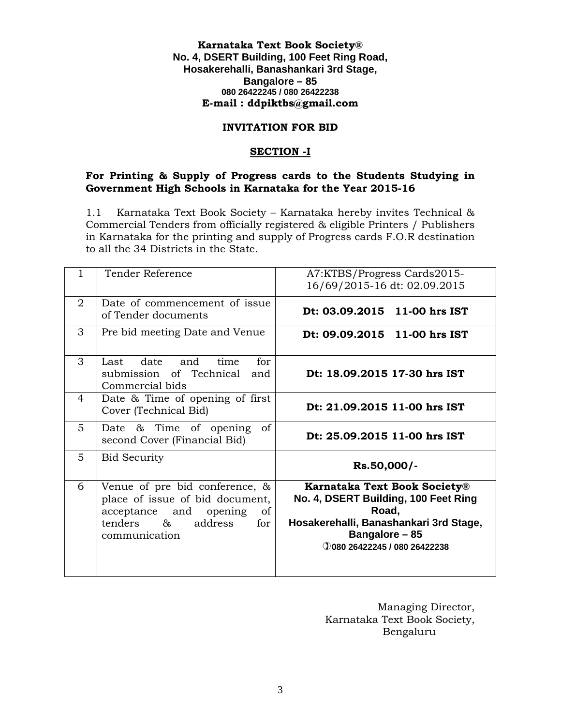#### **Karnataka Text Book Society® No. 4, DSERT Building, 100 Feet Ring Road, Hosakerehalli, Banashankari 3rd Stage, Bangalore – 85 080 26422245 / 080 26422238 E-mail : ddpiktbs@gmail.com**

#### **INVITATION FOR BID**

## **SECTION -I**

### **For Printing & Supply of Progress cards to the Students Studying in Government High Schools in Karnataka for the Year 2015-16**

1.1 Karnataka Text Book Society – Karnataka hereby invites Technical & Commercial Tenders from officially registered & eligible Printers / Publishers in Karnataka for the printing and supply of Progress cards F.O.R destination to all the 34 Districts in the State.

| 1           | Tender Reference                                                                                                                                  | A7:KTBS/Progress Cards2015-<br>16/69/2015-16 dt: 02.09.2015                                                                                                                      |  |
|-------------|---------------------------------------------------------------------------------------------------------------------------------------------------|----------------------------------------------------------------------------------------------------------------------------------------------------------------------------------|--|
| 2           | Date of commencement of issue<br>of Tender documents                                                                                              | Dt: 03.09.2015 11-00 hrs IST                                                                                                                                                     |  |
| 3           | Pre bid meeting Date and Venue                                                                                                                    | Dt: 09.09.2015 11-00 hrs IST                                                                                                                                                     |  |
| 3           | for<br>date and<br>time<br>Last<br>submission of Technical<br>and<br>Commercial bids                                                              | Dt: 18.09.2015 17-30 hrs IST                                                                                                                                                     |  |
| 4           | Date & Time of opening of first<br>Cover (Technical Bid)                                                                                          | Dt: 21.09.2015 11-00 hrs IST                                                                                                                                                     |  |
| $5^{\circ}$ | Date & Time of opening<br>οf<br>second Cover (Financial Bid)                                                                                      | Dt: 25.09.2015 11-00 hrs IST                                                                                                                                                     |  |
| 5           | <b>Bid Security</b>                                                                                                                               | Rs.50,000/-                                                                                                                                                                      |  |
| 6           | Venue of pre bid conference, &<br>place of issue of bid document,<br>acceptance and opening<br>of<br>tenders &<br>address<br>for<br>communication | <b>Karnataka Text Book Society®</b><br>No. 4, DSERT Building, 100 Feet Ring<br>Road,<br>Hosakerehalli, Banashankari 3rd Stage,<br>Bangalore - 85<br>0080 26422245 / 080 26422238 |  |

Managing Director, Karnataka Text Book Society, Bengaluru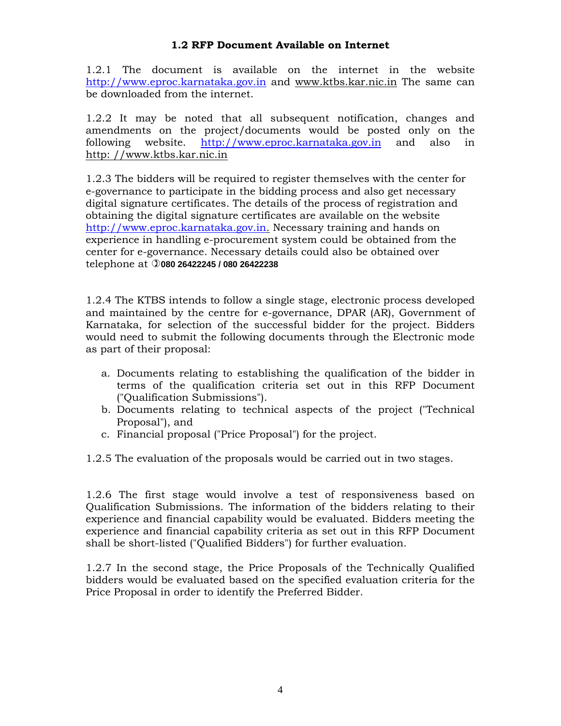## **1.2 RFP Document Available on Internet**

1.2.1 The document is available on the internet in the website http://www.eproc.karnataka.gov.in and www.ktbs.kar.nic.in The same can be downloaded from the internet.

1.2.2 It may be noted that all subsequent notification, changes and amendments on the project/documents would be posted only on the following website. http://www.eproc.karnataka.gov.in and also in http: //www.ktbs.kar.nic.in

1.2.3 The bidders will be required to register themselves with the center for e-governance to participate in the bidding process and also get necessary digital signature certificates. The details of the process of registration and obtaining the digital signature certificates are available on the website http://www.eproc.karnataka.gov.in. Necessary training and hands on experience in handling e-procurement system could be obtained from the center for e-governance. Necessary details could also be obtained over telephone at **080 26422245 / 080 26422238** 

1.2.4 The KTBS intends to follow a single stage, electronic process developed and maintained by the centre for e-governance, DPAR (AR), Government of Karnataka, for selection of the successful bidder for the project. Bidders would need to submit the following documents through the Electronic mode as part of their proposal:

- a. Documents relating to establishing the qualification of the bidder in terms of the qualification criteria set out in this RFP Document ("Qualification Submissions").
- b. Documents relating to technical aspects of the project ("Technical Proposal"), and
- c. Financial proposal ("Price Proposal") for the project.
- 1.2.5 The evaluation of the proposals would be carried out in two stages.

1.2.6 The first stage would involve a test of responsiveness based on Qualification Submissions. The information of the bidders relating to their experience and financial capability would be evaluated. Bidders meeting the experience and financial capability criteria as set out in this RFP Document shall be short-listed ("Qualified Bidders") for further evaluation.

1.2.7 In the second stage, the Price Proposals of the Technically Qualified bidders would be evaluated based on the specified evaluation criteria for the Price Proposal in order to identify the Preferred Bidder.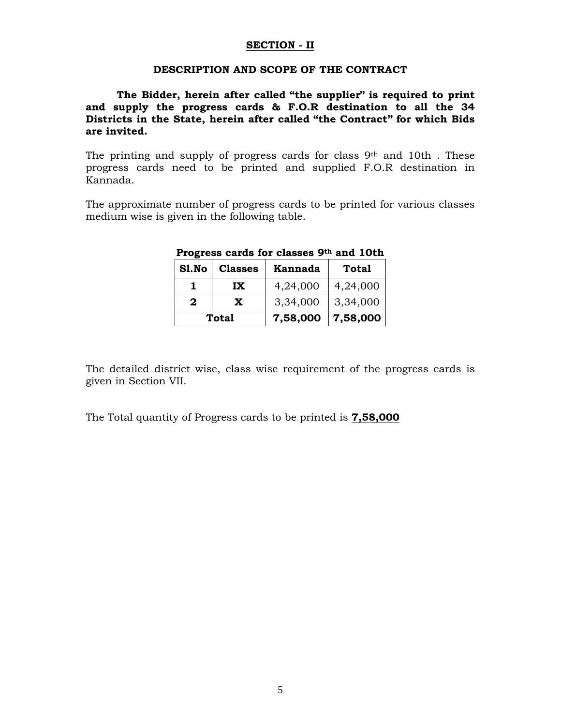#### **SECTION - II**

#### **DESCRIPTION AND SCOPE OF THE CONTRACT**

### **The Bidder, herein after called "the supplier" is required to print and supply the progress cards & F.O.R destination to all the 34 Districts in the State, herein after called "the Contract" for which Bids are invited.**

The printing and supply of progress cards for class 9th and 10th . These progress cards need to be printed and supplied F.O.R destination in Kannada.

The approximate number of progress cards to be printed for various classes medium wise is given in the following table.

| Sl.No | <b>Classes</b> | Kannada  | <b>Total</b> |
|-------|----------------|----------|--------------|
|       | IX             | 4,24,000 | 4,24,000     |
| 2     | X              | 3,34,000 | 3,34,000     |
|       | Total          | 7,58,000 | 7,58,000     |

#### **Progress cards for classes 9th and 10th**

The detailed district wise, class wise requirement of the progress cards is given in Section VII.

The Total quantity of Progress cards to be printed is **7,58,000**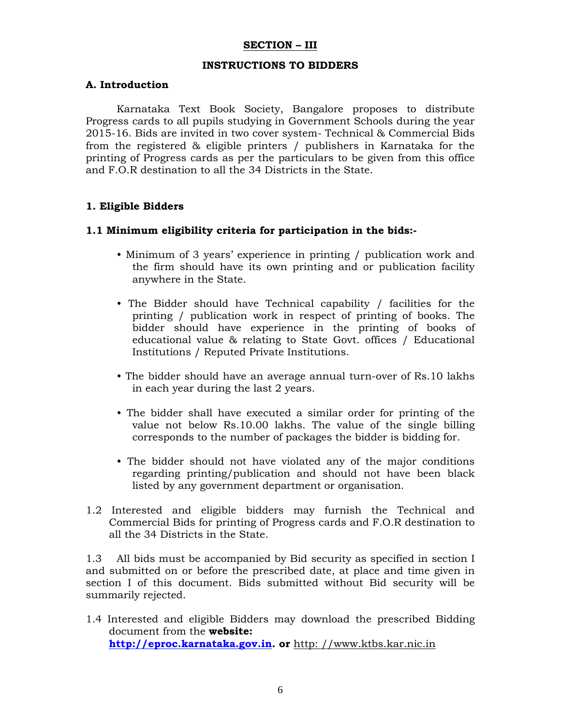#### **SECTION – III**

#### **INSTRUCTIONS TO BIDDERS**

#### **A. Introduction**

 Karnataka Text Book Society, Bangalore proposes to distribute Progress cards to all pupils studying in Government Schools during the year 2015-16. Bids are invited in two cover system- Technical & Commercial Bids from the registered & eligible printers / publishers in Karnataka for the printing of Progress cards as per the particulars to be given from this office and F.O.R destination to all the 34 Districts in the State.

#### **1. Eligible Bidders**

#### **1.1 Minimum eligibility criteria for participation in the bids:-**

- Minimum of 3 years' experience in printing / publication work and the firm should have its own printing and or publication facility anywhere in the State.
- The Bidder should have Technical capability / facilities for the printing / publication work in respect of printing of books. The bidder should have experience in the printing of books of educational value & relating to State Govt. offices / Educational Institutions / Reputed Private Institutions.
- The bidder should have an average annual turn-over of Rs.10 lakhs in each year during the last 2 years.
- The bidder shall have executed a similar order for printing of the value not below Rs.10.00 lakhs. The value of the single billing corresponds to the number of packages the bidder is bidding for.
- The bidder should not have violated any of the major conditions regarding printing/publication and should not have been black listed by any government department or organisation.
- 1.2 Interested and eligible bidders may furnish the Technical and Commercial Bids for printing of Progress cards and F.O.R destination to all the 34 Districts in the State.

1.3 All bids must be accompanied by Bid security as specified in section I and submitted on or before the prescribed date, at place and time given in section I of this document. Bids submitted without Bid security will be summarily rejected.

1.4 Interested and eligible Bidders may download the prescribed Bidding document from the **website: http://eproc.karnataka.gov.in. or** http: //www.ktbs.kar.nic.in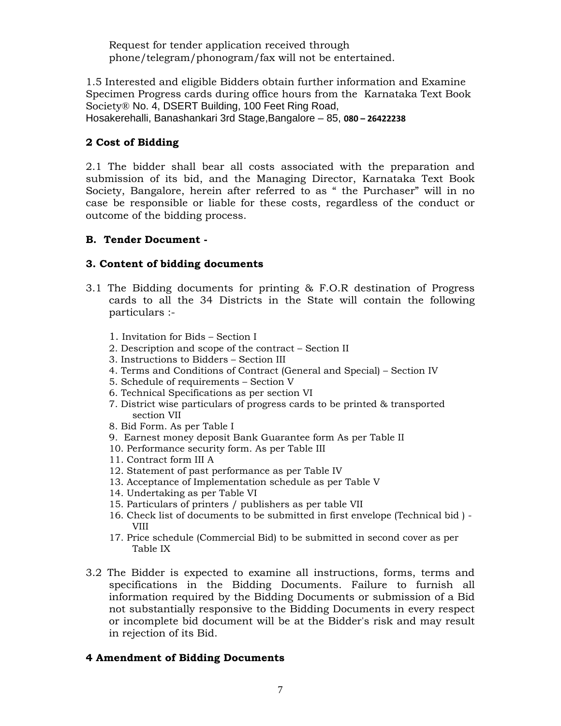Request for tender application received through phone/telegram/phonogram/fax will not be entertained.

1.5 Interested and eligible Bidders obtain further information and Examine Specimen Progress cards during office hours from the Karnataka Text Book Society® No. 4, DSERT Building, 100 Feet Ring Road, Hosakerehalli, Banashankari 3rd Stage,Bangalore – 85, **080 – 26422238** 

# **2 Cost of Bidding**

2.1 The bidder shall bear all costs associated with the preparation and submission of its bid, and the Managing Director, Karnataka Text Book Society, Bangalore, herein after referred to as " the Purchaser" will in no case be responsible or liable for these costs, regardless of the conduct or outcome of the bidding process.

## **B. Tender Document -**

# **3. Content of bidding documents**

- 3.1 The Bidding documents for printing & F.O.R destination of Progress cards to all the 34 Districts in the State will contain the following particulars :-
	- 1. Invitation for Bids Section I
	- 2. Description and scope of the contract Section II
	- 3. Instructions to Bidders Section III
	- 4. Terms and Conditions of Contract (General and Special) Section IV
	- 5. Schedule of requirements Section V
	- 6. Technical Specifications as per section VI
	- 7. District wise particulars of progress cards to be printed & transported section VII
	- 8. Bid Form. As per Table I
	- 9. Earnest money deposit Bank Guarantee form As per Table II
	- 10. Performance security form. As per Table III
	- 11. Contract form III A
	- 12. Statement of past performance as per Table IV
	- 13. Acceptance of Implementation schedule as per Table V
	- 14. Undertaking as per Table VI
	- 15. Particulars of printers / publishers as per table VII
	- 16. Check list of documents to be submitted in first envelope (Technical bid ) VIII
	- 17. Price schedule (Commercial Bid) to be submitted in second cover as per Table IX
- 3.2 The Bidder is expected to examine all instructions, forms, terms and specifications in the Bidding Documents. Failure to furnish all information required by the Bidding Documents or submission of a Bid not substantially responsive to the Bidding Documents in every respect or incomplete bid document will be at the Bidder's risk and may result in rejection of its Bid.

## **4 Amendment of Bidding Documents**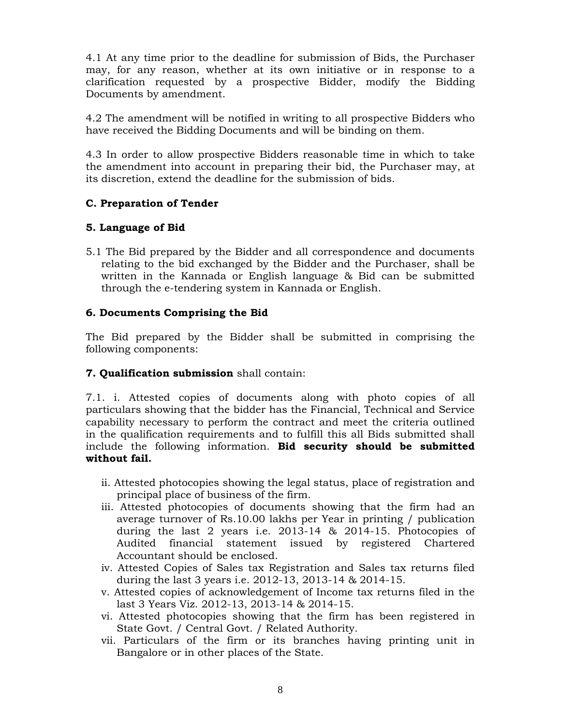4.1 At any time prior to the deadline for submission of Bids, the Purchaser may, for any reason, whether at its own initiative or in response to a clarification requested by a prospective Bidder, modify the Bidding Documents by amendment.

4.2 The amendment will be notified in writing to all prospective Bidders who have received the Bidding Documents and will be binding on them.

4.3 In order to allow prospective Bidders reasonable time in which to take the amendment into account in preparing their bid, the Purchaser may, at its discretion, extend the deadline for the submission of bids.

## **C. Preparation of Tender**

## **5. Language of Bid**

5.1 The Bid prepared by the Bidder and all correspondence and documents relating to the bid exchanged by the Bidder and the Purchaser, shall be written in the Kannada or English language & Bid can be submitted through the e-tendering system in Kannada or English.

## **6. Documents Comprising the Bid**

The Bid prepared by the Bidder shall be submitted in comprising the following components:

## **7. Qualification submission** shall contain:

7.1. i. Attested copies of documents along with photo copies of all particulars showing that the bidder has the Financial, Technical and Service capability necessary to perform the contract and meet the criteria outlined in the qualification requirements and to fulfill this all Bids submitted shall include the following information. **Bid security should be submitted without fail.** 

- ii. Attested photocopies showing the legal status, place of registration and principal place of business of the firm.
- iii. Attested photocopies of documents showing that the firm had an average turnover of Rs.10.00 lakhs per Year in printing / publication during the last 2 years i.e. 2013-14 & 2014-15. Photocopies of Audited financial statement issued by registered Chartered Accountant should be enclosed.
- iv. Attested Copies of Sales tax Registration and Sales tax returns filed during the last 3 years i.e. 2012-13, 2013-14 & 2014-15.
- v. Attested copies of acknowledgement of Income tax returns filed in the last 3 Years Viz. 2012-13, 2013-14 & 2014-15.
- vi. Attested photocopies showing that the firm has been registered in State Govt. / Central Govt. / Related Authority.
- vii. Particulars of the firm or its branches having printing unit in Bangalore or in other places of the State.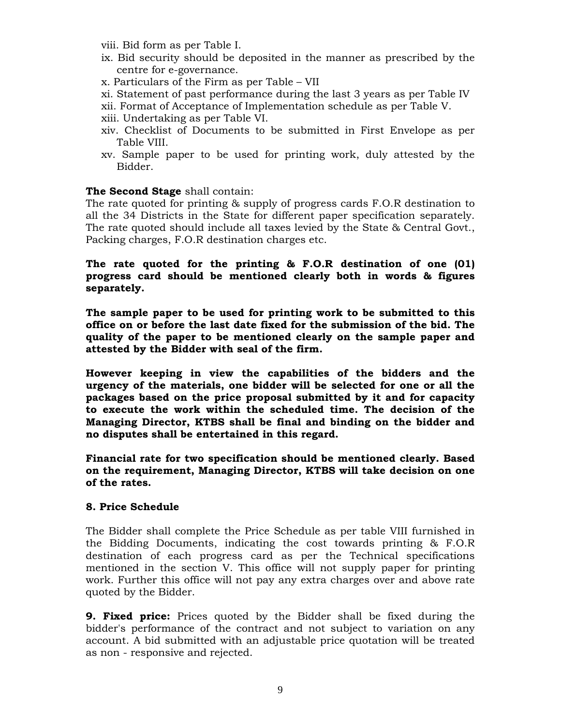viii. Bid form as per Table I.

- ix. Bid security should be deposited in the manner as prescribed by the centre for e-governance.
- x. Particulars of the Firm as per Table VII
- xi. Statement of past performance during the last 3 years as per Table IV
- xii. Format of Acceptance of Implementation schedule as per Table V.
- xiii. Undertaking as per Table VI.
- xiv. Checklist of Documents to be submitted in First Envelope as per Table VIII.
- xv. Sample paper to be used for printing work, duly attested by the Bidder.

## **The Second Stage** shall contain:

The rate quoted for printing & supply of progress cards F.O.R destination to all the 34 Districts in the State for different paper specification separately. The rate quoted should include all taxes levied by the State & Central Govt., Packing charges, F.O.R destination charges etc.

## **The rate quoted for the printing & F.O.R destination of one (01) progress card should be mentioned clearly both in words & figures separately.**

**The sample paper to be used for printing work to be submitted to this office on or before the last date fixed for the submission of the bid. The quality of the paper to be mentioned clearly on the sample paper and attested by the Bidder with seal of the firm.** 

**However keeping in view the capabilities of the bidders and the urgency of the materials, one bidder will be selected for one or all the packages based on the price proposal submitted by it and for capacity to execute the work within the scheduled time. The decision of the Managing Director, KTBS shall be final and binding on the bidder and no disputes shall be entertained in this regard.** 

**Financial rate for two specification should be mentioned clearly. Based on the requirement, Managing Director, KTBS will take decision on one of the rates.**

#### **8. Price Schedule**

The Bidder shall complete the Price Schedule as per table VIII furnished in the Bidding Documents, indicating the cost towards printing & F.O.R destination of each progress card as per the Technical specifications mentioned in the section V. This office will not supply paper for printing work. Further this office will not pay any extra charges over and above rate quoted by the Bidder.

**9. Fixed price:** Prices quoted by the Bidder shall be fixed during the bidder's performance of the contract and not subject to variation on any account. A bid submitted with an adjustable price quotation will be treated as non - responsive and rejected.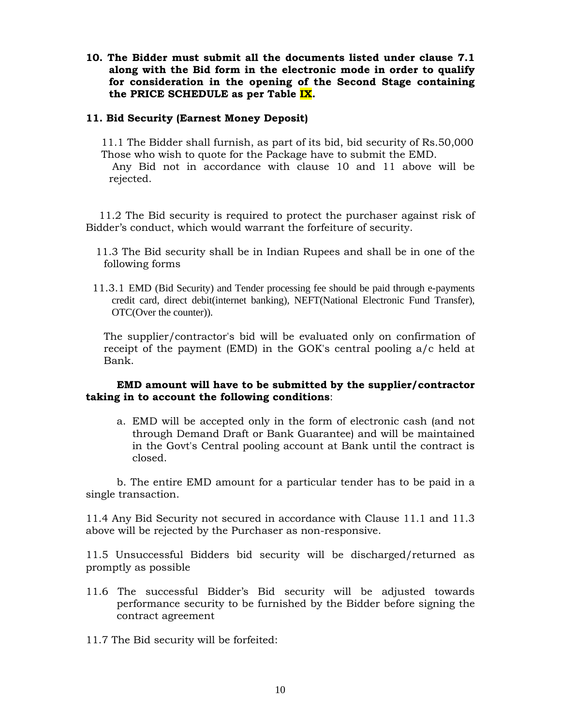**10. The Bidder must submit all the documents listed under clause 7.1 along with the Bid form in the electronic mode in order to qualify for consideration in the opening of the Second Stage containing the PRICE SCHEDULE as per Table IX.** 

### **11. Bid Security (Earnest Money Deposit)**

11.1 The Bidder shall furnish, as part of its bid, bid security of Rs.50,000 Those who wish to quote for the Package have to submit the EMD.

 Any Bid not in accordance with clause 10 and 11 above will be rejected.

 11.2 The Bid security is required to protect the purchaser against risk of Bidder's conduct, which would warrant the forfeiture of security.

- 11.3 The Bid security shall be in Indian Rupees and shall be in one of the following forms
- 11.3.1 EMD (Bid Security) and Tender processing fee should be paid through e-payments credit card, direct debit(internet banking), NEFT(National Electronic Fund Transfer), OTC(Over the counter)).

 The supplier/contractor's bid will be evaluated only on confirmation of receipt of the payment (EMD) in the GOK's central pooling a/c held at Bank.

#### **EMD amount will have to be submitted by the supplier/contractor taking in to account the following conditions**:

a. EMD will be accepted only in the form of electronic cash (and not through Demand Draft or Bank Guarantee) and will be maintained in the Govt's Central pooling account at Bank until the contract is closed.

 b. The entire EMD amount for a particular tender has to be paid in a single transaction.

11.4 Any Bid Security not secured in accordance with Clause 11.1 and 11.3 above will be rejected by the Purchaser as non-responsive.

11.5 Unsuccessful Bidders bid security will be discharged/returned as promptly as possible

- 11.6 The successful Bidder's Bid security will be adjusted towards performance security to be furnished by the Bidder before signing the contract agreement
- 11.7 The Bid security will be forfeited: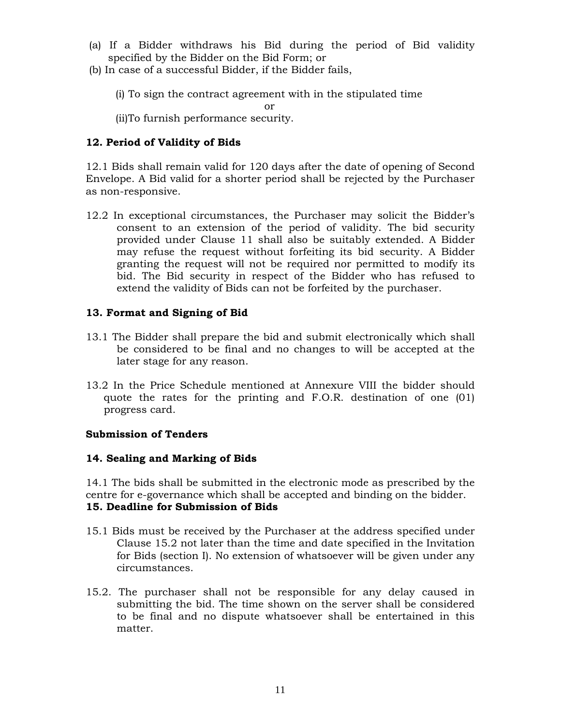- (a) If a Bidder withdraws his Bid during the period of Bid validity specified by the Bidder on the Bid Form; or
- (b) In case of a successful Bidder, if the Bidder fails,

(i) To sign the contract agreement with in the stipulated time

or

(ii)To furnish performance security.

## **12. Period of Validity of Bids**

12.1 Bids shall remain valid for 120 days after the date of opening of Second Envelope. A Bid valid for a shorter period shall be rejected by the Purchaser as non-responsive.

12.2 In exceptional circumstances, the Purchaser may solicit the Bidder's consent to an extension of the period of validity. The bid security provided under Clause 11 shall also be suitably extended. A Bidder may refuse the request without forfeiting its bid security. A Bidder granting the request will not be required nor permitted to modify its bid. The Bid security in respect of the Bidder who has refused to extend the validity of Bids can not be forfeited by the purchaser.

## **13. Format and Signing of Bid**

- 13.1 The Bidder shall prepare the bid and submit electronically which shall be considered to be final and no changes to will be accepted at the later stage for any reason.
- 13.2 In the Price Schedule mentioned at Annexure VIII the bidder should quote the rates for the printing and F.O.R. destination of one (01) progress card.

## **Submission of Tenders**

## **14. Sealing and Marking of Bids**

14.1 The bids shall be submitted in the electronic mode as prescribed by the centre for e-governance which shall be accepted and binding on the bidder. **15. Deadline for Submission of Bids** 

- 15.1 Bids must be received by the Purchaser at the address specified under Clause 15.2 not later than the time and date specified in the Invitation for Bids (section I). No extension of whatsoever will be given under any circumstances.
- 15.2. The purchaser shall not be responsible for any delay caused in submitting the bid. The time shown on the server shall be considered to be final and no dispute whatsoever shall be entertained in this matter.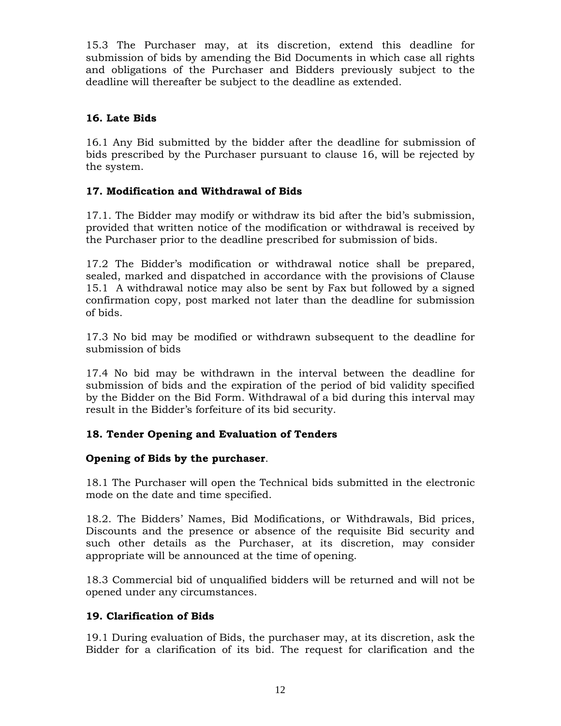15.3 The Purchaser may, at its discretion, extend this deadline for submission of bids by amending the Bid Documents in which case all rights and obligations of the Purchaser and Bidders previously subject to the deadline will thereafter be subject to the deadline as extended.

# **16. Late Bids**

16.1 Any Bid submitted by the bidder after the deadline for submission of bids prescribed by the Purchaser pursuant to clause 16, will be rejected by the system.

# **17. Modification and Withdrawal of Bids**

17.1. The Bidder may modify or withdraw its bid after the bid's submission, provided that written notice of the modification or withdrawal is received by the Purchaser prior to the deadline prescribed for submission of bids.

17.2 The Bidder's modification or withdrawal notice shall be prepared, sealed, marked and dispatched in accordance with the provisions of Clause 15.1 A withdrawal notice may also be sent by Fax but followed by a signed confirmation copy, post marked not later than the deadline for submission of bids.

17.3 No bid may be modified or withdrawn subsequent to the deadline for submission of bids

17.4 No bid may be withdrawn in the interval between the deadline for submission of bids and the expiration of the period of bid validity specified by the Bidder on the Bid Form. Withdrawal of a bid during this interval may result in the Bidder's forfeiture of its bid security.

# **18. Tender Opening and Evaluation of Tenders**

## **Opening of Bids by the purchaser**.

18.1 The Purchaser will open the Technical bids submitted in the electronic mode on the date and time specified.

18.2. The Bidders' Names, Bid Modifications, or Withdrawals, Bid prices, Discounts and the presence or absence of the requisite Bid security and such other details as the Purchaser, at its discretion, may consider appropriate will be announced at the time of opening.

18.3 Commercial bid of unqualified bidders will be returned and will not be opened under any circumstances.

## **19. Clarification of Bids**

19.1 During evaluation of Bids, the purchaser may, at its discretion, ask the Bidder for a clarification of its bid. The request for clarification and the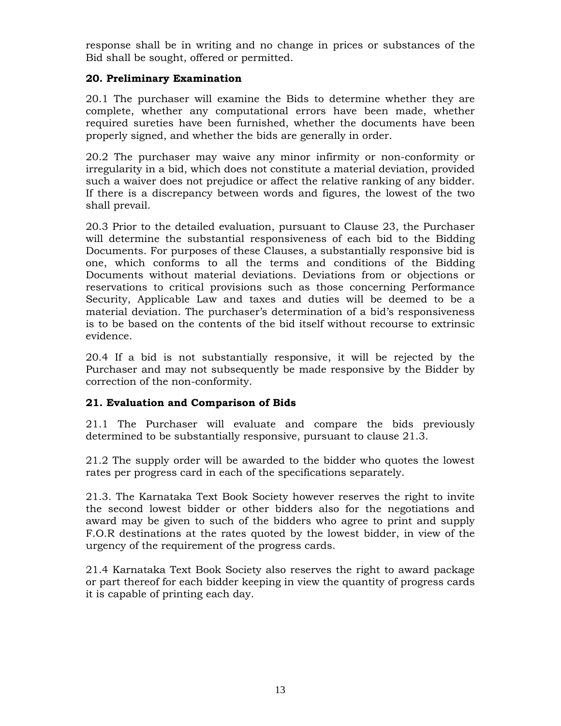response shall be in writing and no change in prices or substances of the Bid shall be sought, offered or permitted.

# **20. Preliminary Examination**

20.1 The purchaser will examine the Bids to determine whether they are complete, whether any computational errors have been made, whether required sureties have been furnished, whether the documents have been properly signed, and whether the bids are generally in order.

20.2 The purchaser may waive any minor infirmity or non-conformity or irregularity in a bid, which does not constitute a material deviation, provided such a waiver does not prejudice or affect the relative ranking of any bidder. If there is a discrepancy between words and figures, the lowest of the two shall prevail.

20.3 Prior to the detailed evaluation, pursuant to Clause 23, the Purchaser will determine the substantial responsiveness of each bid to the Bidding Documents. For purposes of these Clauses, a substantially responsive bid is one, which conforms to all the terms and conditions of the Bidding Documents without material deviations. Deviations from or objections or reservations to critical provisions such as those concerning Performance Security, Applicable Law and taxes and duties will be deemed to be a material deviation. The purchaser's determination of a bid's responsiveness is to be based on the contents of the bid itself without recourse to extrinsic evidence.

20.4 If a bid is not substantially responsive, it will be rejected by the Purchaser and may not subsequently be made responsive by the Bidder by correction of the non-conformity.

## **21. Evaluation and Comparison of Bids**

21.1 The Purchaser will evaluate and compare the bids previously determined to be substantially responsive, pursuant to clause 21.3.

21.2 The supply order will be awarded to the bidder who quotes the lowest rates per progress card in each of the specifications separately.

21.3. The Karnataka Text Book Society however reserves the right to invite the second lowest bidder or other bidders also for the negotiations and award may be given to such of the bidders who agree to print and supply F.O.R destinations at the rates quoted by the lowest bidder, in view of the urgency of the requirement of the progress cards.

21.4 Karnataka Text Book Society also reserves the right to award package or part thereof for each bidder keeping in view the quantity of progress cards it is capable of printing each day.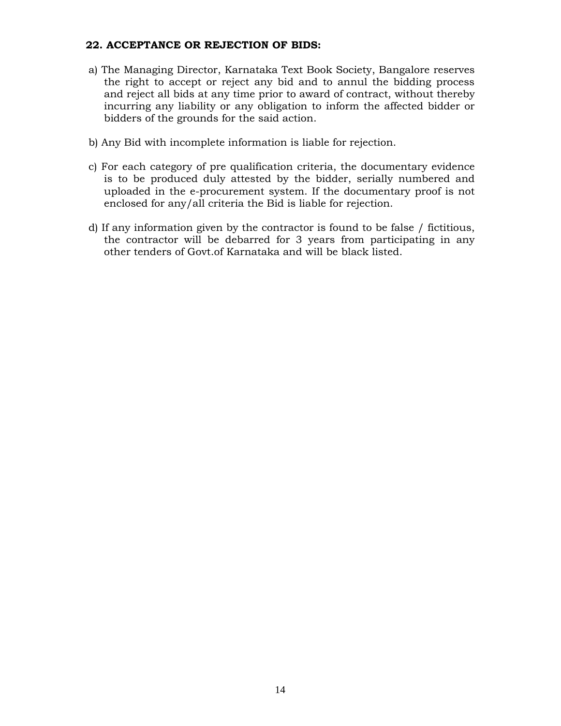### **22. ACCEPTANCE OR REJECTION OF BIDS:**

- a) The Managing Director, Karnataka Text Book Society, Bangalore reserves the right to accept or reject any bid and to annul the bidding process and reject all bids at any time prior to award of contract, without thereby incurring any liability or any obligation to inform the affected bidder or bidders of the grounds for the said action.
- b) Any Bid with incomplete information is liable for rejection.
- c) For each category of pre qualification criteria, the documentary evidence is to be produced duly attested by the bidder, serially numbered and uploaded in the e-procurement system. If the documentary proof is not enclosed for any/all criteria the Bid is liable for rejection.
- d) If any information given by the contractor is found to be false / fictitious, the contractor will be debarred for 3 years from participating in any other tenders of Govt.of Karnataka and will be black listed.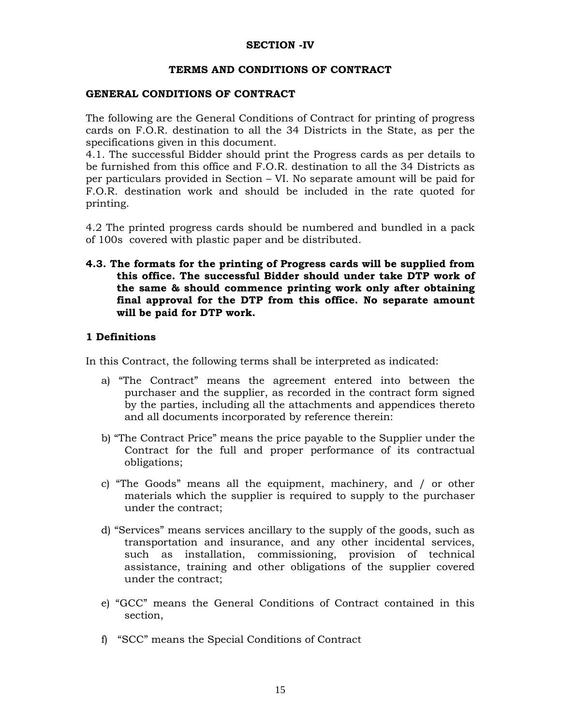### **SECTION -IV**

#### **TERMS AND CONDITIONS OF CONTRACT**

#### **GENERAL CONDITIONS OF CONTRACT**

The following are the General Conditions of Contract for printing of progress cards on F.O.R. destination to all the 34 Districts in the State, as per the specifications given in this document.

4.1. The successful Bidder should print the Progress cards as per details to be furnished from this office and F.O.R. destination to all the 34 Districts as per particulars provided in Section – VI. No separate amount will be paid for F.O.R. destination work and should be included in the rate quoted for printing.

4.2 The printed progress cards should be numbered and bundled in a pack of 100s covered with plastic paper and be distributed.

**4.3. The formats for the printing of Progress cards will be supplied from this office. The successful Bidder should under take DTP work of the same & should commence printing work only after obtaining final approval for the DTP from this office. No separate amount will be paid for DTP work.** 

## **1 Definitions**

In this Contract, the following terms shall be interpreted as indicated:

- a) "The Contract" means the agreement entered into between the purchaser and the supplier, as recorded in the contract form signed by the parties, including all the attachments and appendices thereto and all documents incorporated by reference therein:
- b) "The Contract Price" means the price payable to the Supplier under the Contract for the full and proper performance of its contractual obligations;
- c) "The Goods" means all the equipment, machinery, and / or other materials which the supplier is required to supply to the purchaser under the contract;
- d) "Services" means services ancillary to the supply of the goods, such as transportation and insurance, and any other incidental services, such as installation, commissioning, provision of technical assistance, training and other obligations of the supplier covered under the contract;
- e) "GCC" means the General Conditions of Contract contained in this section,
- f) "SCC" means the Special Conditions of Contract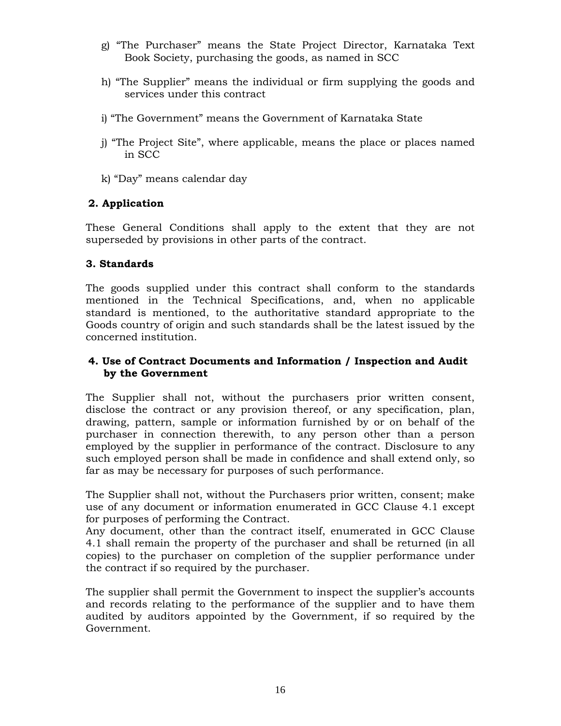- g) "The Purchaser" means the State Project Director, Karnataka Text Book Society, purchasing the goods, as named in SCC
- h) "The Supplier" means the individual or firm supplying the goods and services under this contract
- i) "The Government" means the Government of Karnataka State
- j) "The Project Site", where applicable, means the place or places named in SCC
- k) "Day" means calendar day

# **2. Application**

These General Conditions shall apply to the extent that they are not superseded by provisions in other parts of the contract.

# **3. Standards**

The goods supplied under this contract shall conform to the standards mentioned in the Technical Specifications, and, when no applicable standard is mentioned, to the authoritative standard appropriate to the Goods country of origin and such standards shall be the latest issued by the concerned institution.

## **4. Use of Contract Documents and Information / Inspection and Audit by the Government**

The Supplier shall not, without the purchasers prior written consent, disclose the contract or any provision thereof, or any specification, plan, drawing, pattern, sample or information furnished by or on behalf of the purchaser in connection therewith, to any person other than a person employed by the supplier in performance of the contract. Disclosure to any such employed person shall be made in confidence and shall extend only, so far as may be necessary for purposes of such performance.

The Supplier shall not, without the Purchasers prior written, consent; make use of any document or information enumerated in GCC Clause 4.1 except for purposes of performing the Contract.

Any document, other than the contract itself, enumerated in GCC Clause 4.1 shall remain the property of the purchaser and shall be returned (in all copies) to the purchaser on completion of the supplier performance under the contract if so required by the purchaser.

The supplier shall permit the Government to inspect the supplier's accounts and records relating to the performance of the supplier and to have them audited by auditors appointed by the Government, if so required by the Government.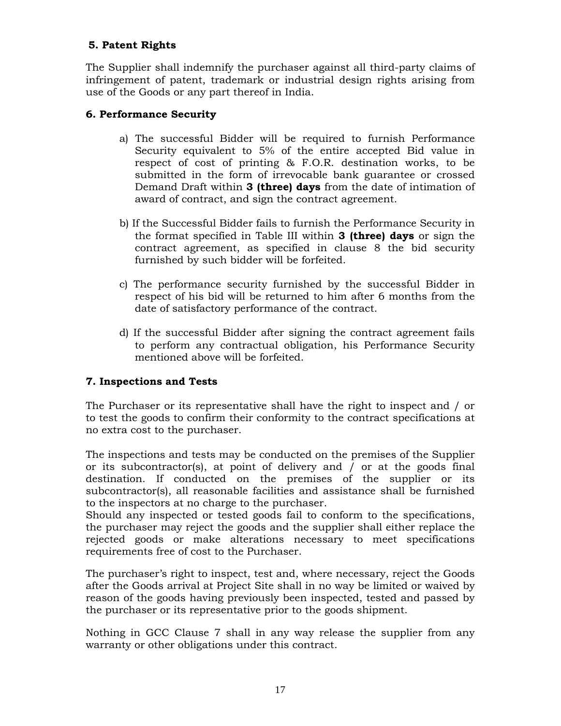# **5. Patent Rights**

The Supplier shall indemnify the purchaser against all third-party claims of infringement of patent, trademark or industrial design rights arising from use of the Goods or any part thereof in India.

# **6. Performance Security**

- a) The successful Bidder will be required to furnish Performance Security equivalent to 5% of the entire accepted Bid value in respect of cost of printing & F.O.R. destination works, to be submitted in the form of irrevocable bank guarantee or crossed Demand Draft within **3 (three) days** from the date of intimation of award of contract, and sign the contract agreement.
- b) If the Successful Bidder fails to furnish the Performance Security in the format specified in Table III within **3 (three) days** or sign the contract agreement, as specified in clause 8 the bid security furnished by such bidder will be forfeited.
- c) The performance security furnished by the successful Bidder in respect of his bid will be returned to him after 6 months from the date of satisfactory performance of the contract.
- d) If the successful Bidder after signing the contract agreement fails to perform any contractual obligation, his Performance Security mentioned above will be forfeited.

## **7. Inspections and Tests**

The Purchaser or its representative shall have the right to inspect and / or to test the goods to confirm their conformity to the contract specifications at no extra cost to the purchaser.

The inspections and tests may be conducted on the premises of the Supplier or its subcontractor(s), at point of delivery and  $\prime$  or at the goods final destination. If conducted on the premises of the supplier or its subcontractor(s), all reasonable facilities and assistance shall be furnished to the inspectors at no charge to the purchaser.

Should any inspected or tested goods fail to conform to the specifications, the purchaser may reject the goods and the supplier shall either replace the rejected goods or make alterations necessary to meet specifications requirements free of cost to the Purchaser.

The purchaser's right to inspect, test and, where necessary, reject the Goods after the Goods arrival at Project Site shall in no way be limited or waived by reason of the goods having previously been inspected, tested and passed by the purchaser or its representative prior to the goods shipment.

Nothing in GCC Clause 7 shall in any way release the supplier from any warranty or other obligations under this contract.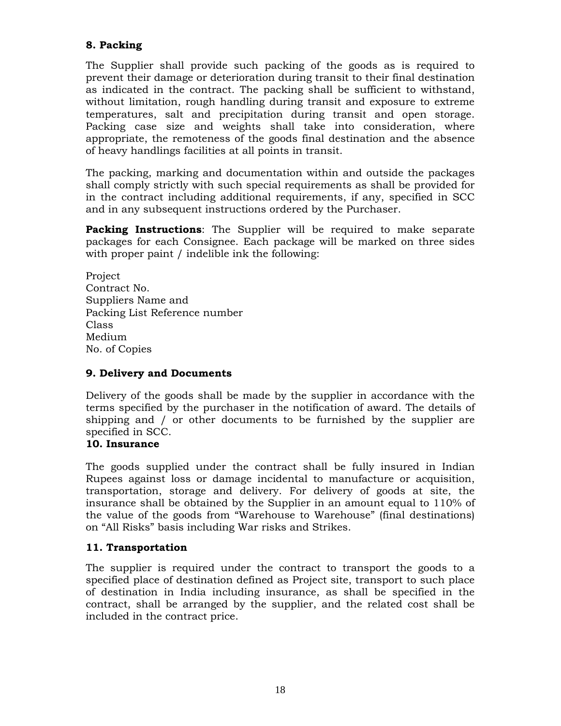# **8. Packing**

The Supplier shall provide such packing of the goods as is required to prevent their damage or deterioration during transit to their final destination as indicated in the contract. The packing shall be sufficient to withstand, without limitation, rough handling during transit and exposure to extreme temperatures, salt and precipitation during transit and open storage. Packing case size and weights shall take into consideration, where appropriate, the remoteness of the goods final destination and the absence of heavy handlings facilities at all points in transit.

The packing, marking and documentation within and outside the packages shall comply strictly with such special requirements as shall be provided for in the contract including additional requirements, if any, specified in SCC and in any subsequent instructions ordered by the Purchaser.

**Packing Instructions**: The Supplier will be required to make separate packages for each Consignee. Each package will be marked on three sides with proper paint / indelible ink the following:

Project Contract No. Suppliers Name and Packing List Reference number Class Medium No. of Copies

## **9. Delivery and Documents**

Delivery of the goods shall be made by the supplier in accordance with the terms specified by the purchaser in the notification of award. The details of shipping and / or other documents to be furnished by the supplier are specified in SCC.

## **10. Insurance**

The goods supplied under the contract shall be fully insured in Indian Rupees against loss or damage incidental to manufacture or acquisition, transportation, storage and delivery. For delivery of goods at site, the insurance shall be obtained by the Supplier in an amount equal to 110% of the value of the goods from "Warehouse to Warehouse" (final destinations) on "All Risks" basis including War risks and Strikes.

## **11. Transportation**

The supplier is required under the contract to transport the goods to a specified place of destination defined as Project site, transport to such place of destination in India including insurance, as shall be specified in the contract, shall be arranged by the supplier, and the related cost shall be included in the contract price.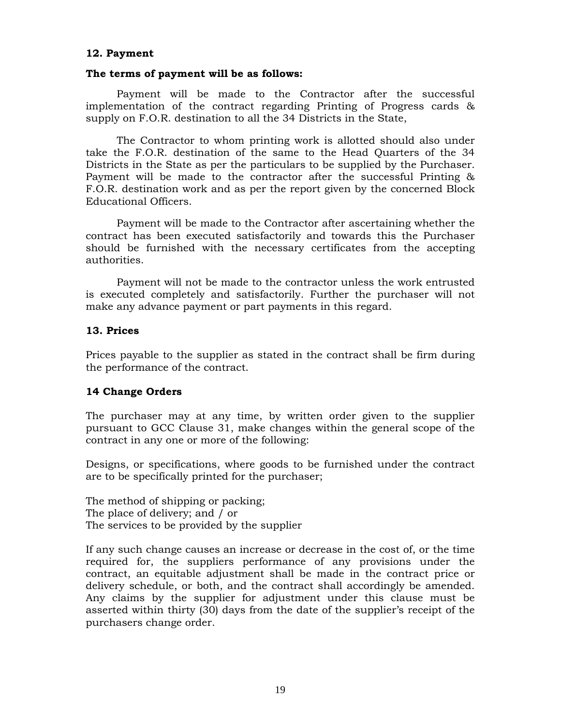#### **12. Payment**

#### **The terms of payment will be as follows:**

 Payment will be made to the Contractor after the successful implementation of the contract regarding Printing of Progress cards & supply on F.O.R. destination to all the 34 Districts in the State,

 The Contractor to whom printing work is allotted should also under take the F.O.R. destination of the same to the Head Quarters of the 34 Districts in the State as per the particulars to be supplied by the Purchaser. Payment will be made to the contractor after the successful Printing & F.O.R. destination work and as per the report given by the concerned Block Educational Officers.

 Payment will be made to the Contractor after ascertaining whether the contract has been executed satisfactorily and towards this the Purchaser should be furnished with the necessary certificates from the accepting authorities.

 Payment will not be made to the contractor unless the work entrusted is executed completely and satisfactorily. Further the purchaser will not make any advance payment or part payments in this regard.

#### **13. Prices**

Prices payable to the supplier as stated in the contract shall be firm during the performance of the contract.

## **14 Change Orders**

The purchaser may at any time, by written order given to the supplier pursuant to GCC Clause 31, make changes within the general scope of the contract in any one or more of the following:

Designs, or specifications, where goods to be furnished under the contract are to be specifically printed for the purchaser;

The method of shipping or packing; The place of delivery; and / or The services to be provided by the supplier

If any such change causes an increase or decrease in the cost of, or the time required for, the suppliers performance of any provisions under the contract, an equitable adjustment shall be made in the contract price or delivery schedule, or both, and the contract shall accordingly be amended. Any claims by the supplier for adjustment under this clause must be asserted within thirty (30) days from the date of the supplier's receipt of the purchasers change order.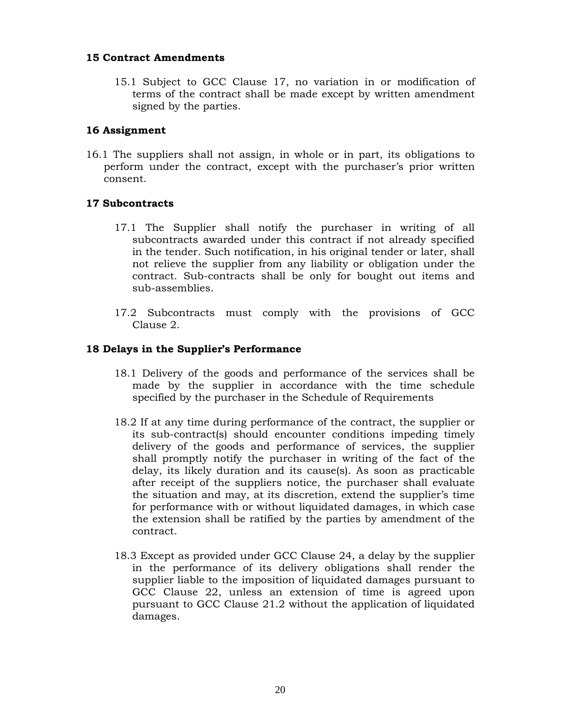## **15 Contract Amendments**

15.1 Subject to GCC Clause 17, no variation in or modification of terms of the contract shall be made except by written amendment signed by the parties.

## **16 Assignment**

16.1 The suppliers shall not assign, in whole or in part, its obligations to perform under the contract, except with the purchaser's prior written consent.

## **17 Subcontracts**

- 17.1 The Supplier shall notify the purchaser in writing of all subcontracts awarded under this contract if not already specified in the tender. Such notification, in his original tender or later, shall not relieve the supplier from any liability or obligation under the contract. Sub-contracts shall be only for bought out items and sub-assemblies.
- 17.2 Subcontracts must comply with the provisions of GCC Clause 2.

## **18 Delays in the Supplier's Performance**

- 18.1 Delivery of the goods and performance of the services shall be made by the supplier in accordance with the time schedule specified by the purchaser in the Schedule of Requirements
- 18.2 If at any time during performance of the contract, the supplier or its sub-contract(s) should encounter conditions impeding timely delivery of the goods and performance of services, the supplier shall promptly notify the purchaser in writing of the fact of the delay, its likely duration and its cause(s). As soon as practicable after receipt of the suppliers notice, the purchaser shall evaluate the situation and may, at its discretion, extend the supplier's time for performance with or without liquidated damages, in which case the extension shall be ratified by the parties by amendment of the contract.
- 18.3 Except as provided under GCC Clause 24, a delay by the supplier in the performance of its delivery obligations shall render the supplier liable to the imposition of liquidated damages pursuant to GCC Clause 22, unless an extension of time is agreed upon pursuant to GCC Clause 21.2 without the application of liquidated damages.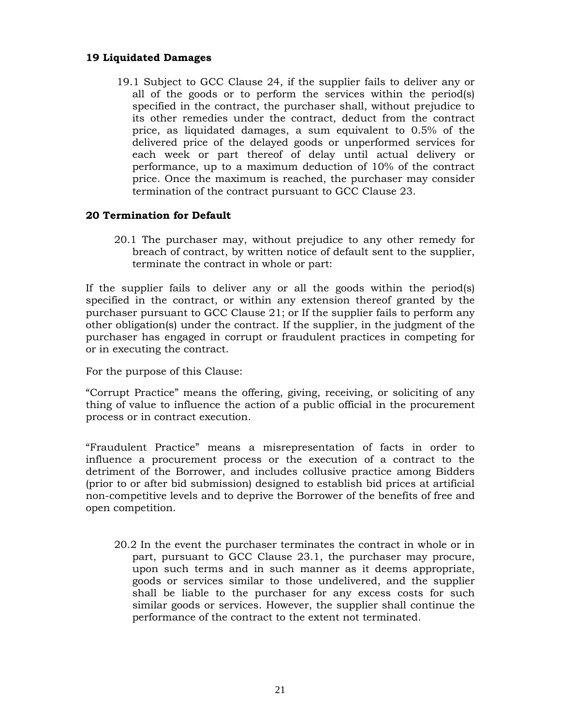## **19 Liquidated Damages**

19.1 Subject to GCC Clause 24, if the supplier fails to deliver any or all of the goods or to perform the services within the period(s) specified in the contract, the purchaser shall, without prejudice to its other remedies under the contract, deduct from the contract price, as liquidated damages, a sum equivalent to 0.5% of the delivered price of the delayed goods or unperformed services for each week or part thereof of delay until actual delivery or performance, up to a maximum deduction of 10% of the contract price. Once the maximum is reached, the purchaser may consider termination of the contract pursuant to GCC Clause 23.

## **20 Termination for Default**

20.1 The purchaser may, without prejudice to any other remedy for breach of contract, by written notice of default sent to the supplier, terminate the contract in whole or part:

If the supplier fails to deliver any or all the goods within the period(s) specified in the contract, or within any extension thereof granted by the purchaser pursuant to GCC Clause 21; or If the supplier fails to perform any other obligation(s) under the contract. If the supplier, in the judgment of the purchaser has engaged in corrupt or fraudulent practices in competing for or in executing the contract.

For the purpose of this Clause:

"Corrupt Practice" means the offering, giving, receiving, or soliciting of any thing of value to influence the action of a public official in the procurement process or in contract execution.

"Fraudulent Practice" means a misrepresentation of facts in order to influence a procurement process or the execution of a contract to the detriment of the Borrower, and includes collusive practice among Bidders (prior to or after bid submission) designed to establish bid prices at artificial non-competitive levels and to deprive the Borrower of the benefits of free and open competition.

20.2 In the event the purchaser terminates the contract in whole or in part, pursuant to GCC Clause 23.1, the purchaser may procure, upon such terms and in such manner as it deems appropriate, goods or services similar to those undelivered, and the supplier shall be liable to the purchaser for any excess costs for such similar goods or services. However, the supplier shall continue the performance of the contract to the extent not terminated.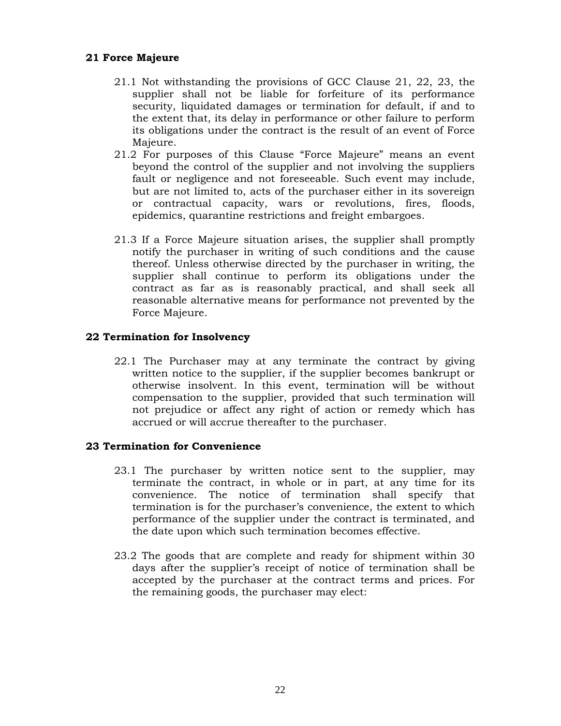## **21 Force Majeure**

- 21.1 Not withstanding the provisions of GCC Clause 21, 22, 23, the supplier shall not be liable for forfeiture of its performance security, liquidated damages or termination for default, if and to the extent that, its delay in performance or other failure to perform its obligations under the contract is the result of an event of Force Majeure.
- 21.2 For purposes of this Clause "Force Majeure" means an event beyond the control of the supplier and not involving the suppliers fault or negligence and not foreseeable. Such event may include, but are not limited to, acts of the purchaser either in its sovereign or contractual capacity, wars or revolutions, fires, floods, epidemics, quarantine restrictions and freight embargoes.
- 21.3 If a Force Majeure situation arises, the supplier shall promptly notify the purchaser in writing of such conditions and the cause thereof. Unless otherwise directed by the purchaser in writing, the supplier shall continue to perform its obligations under the contract as far as is reasonably practical, and shall seek all reasonable alternative means for performance not prevented by the Force Majeure.

## **22 Termination for Insolvency**

22.1 The Purchaser may at any terminate the contract by giving written notice to the supplier, if the supplier becomes bankrupt or otherwise insolvent. In this event, termination will be without compensation to the supplier, provided that such termination will not prejudice or affect any right of action or remedy which has accrued or will accrue thereafter to the purchaser.

## **23 Termination for Convenience**

- 23.1 The purchaser by written notice sent to the supplier, may terminate the contract, in whole or in part, at any time for its convenience. The notice of termination shall specify that termination is for the purchaser's convenience, the extent to which performance of the supplier under the contract is terminated, and the date upon which such termination becomes effective.
- 23.2 The goods that are complete and ready for shipment within 30 days after the supplier's receipt of notice of termination shall be accepted by the purchaser at the contract terms and prices. For the remaining goods, the purchaser may elect: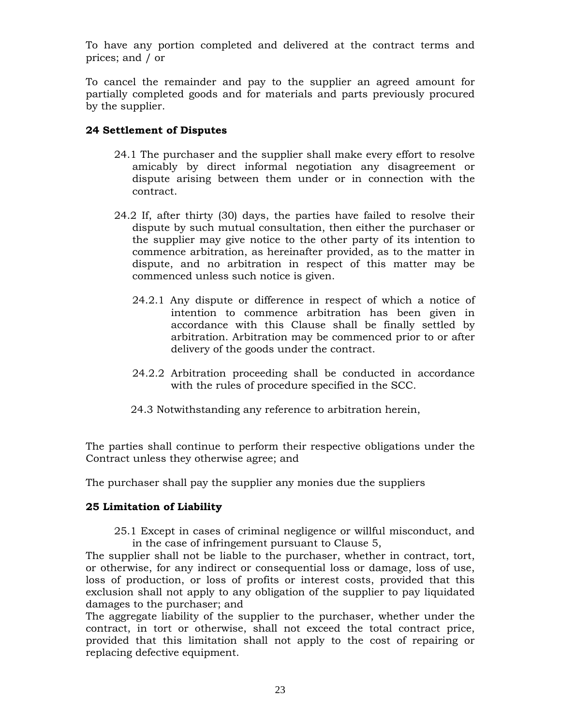To have any portion completed and delivered at the contract terms and prices; and / or

To cancel the remainder and pay to the supplier an agreed amount for partially completed goods and for materials and parts previously procured by the supplier.

## **24 Settlement of Disputes**

- 24.1 The purchaser and the supplier shall make every effort to resolve amicably by direct informal negotiation any disagreement or dispute arising between them under or in connection with the contract.
- 24.2 If, after thirty (30) days, the parties have failed to resolve their dispute by such mutual consultation, then either the purchaser or the supplier may give notice to the other party of its intention to commence arbitration, as hereinafter provided, as to the matter in dispute, and no arbitration in respect of this matter may be commenced unless such notice is given.
	- 24.2.1 Any dispute or difference in respect of which a notice of intention to commence arbitration has been given in accordance with this Clause shall be finally settled by arbitration. Arbitration may be commenced prior to or after delivery of the goods under the contract.
	- 24.2.2 Arbitration proceeding shall be conducted in accordance with the rules of procedure specified in the SCC.
	- 24.3 Notwithstanding any reference to arbitration herein,

The parties shall continue to perform their respective obligations under the Contract unless they otherwise agree; and

The purchaser shall pay the supplier any monies due the suppliers

## **25 Limitation of Liability**

25.1 Except in cases of criminal negligence or willful misconduct, and in the case of infringement pursuant to Clause 5,

The supplier shall not be liable to the purchaser, whether in contract, tort, or otherwise, for any indirect or consequential loss or damage, loss of use, loss of production, or loss of profits or interest costs, provided that this exclusion shall not apply to any obligation of the supplier to pay liquidated damages to the purchaser; and

The aggregate liability of the supplier to the purchaser, whether under the contract, in tort or otherwise, shall not exceed the total contract price, provided that this limitation shall not apply to the cost of repairing or replacing defective equipment.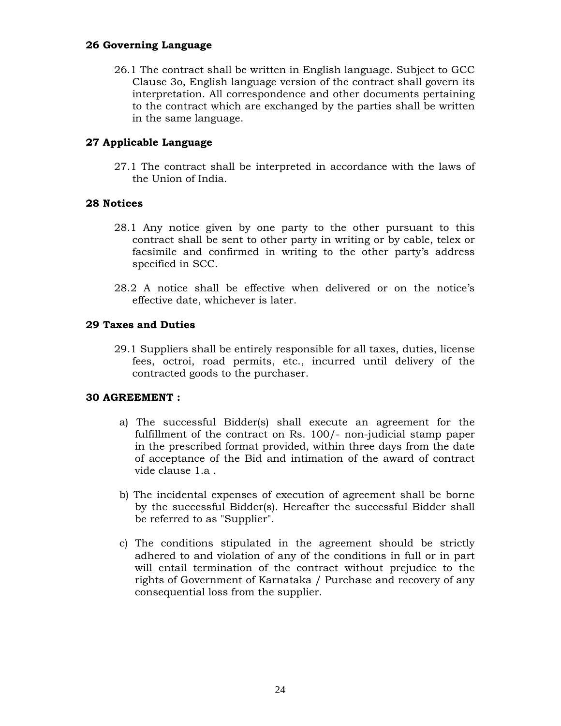## **26 Governing Language**

26.1 The contract shall be written in English language. Subject to GCC Clause 3o, English language version of the contract shall govern its interpretation. All correspondence and other documents pertaining to the contract which are exchanged by the parties shall be written in the same language.

# **27 Applicable Language**

27.1 The contract shall be interpreted in accordance with the laws of the Union of India.

## **28 Notices**

- 28.1 Any notice given by one party to the other pursuant to this contract shall be sent to other party in writing or by cable, telex or facsimile and confirmed in writing to the other party's address specified in SCC.
- 28.2 A notice shall be effective when delivered or on the notice's effective date, whichever is later.

## **29 Taxes and Duties**

29.1 Suppliers shall be entirely responsible for all taxes, duties, license fees, octroi, road permits, etc., incurred until delivery of the contracted goods to the purchaser.

## **30 AGREEMENT :**

- a) The successful Bidder(s) shall execute an agreement for the fulfillment of the contract on Rs. 100/- non-judicial stamp paper in the prescribed format provided, within three days from the date of acceptance of the Bid and intimation of the award of contract vide clause 1.a .
- b) The incidental expenses of execution of agreement shall be borne by the successful Bidder(s). Hereafter the successful Bidder shall be referred to as "Supplier".
- c) The conditions stipulated in the agreement should be strictly adhered to and violation of any of the conditions in full or in part will entail termination of the contract without prejudice to the rights of Government of Karnataka / Purchase and recovery of any consequential loss from the supplier.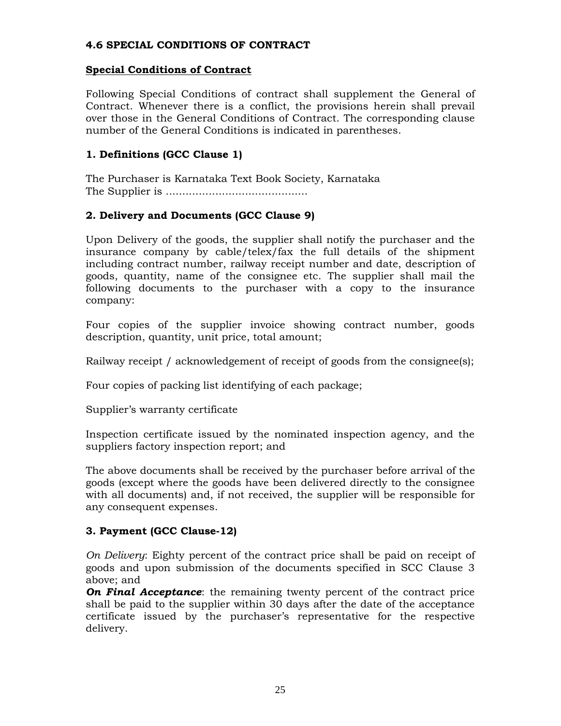## **4.6 SPECIAL CONDITIONS OF CONTRACT**

### **Special Conditions of Contract**

Following Special Conditions of contract shall supplement the General of Contract. Whenever there is a conflict, the provisions herein shall prevail over those in the General Conditions of Contract. The corresponding clause number of the General Conditions is indicated in parentheses.

## **1. Definitions (GCC Clause 1)**

The Purchaser is Karnataka Text Book Society, Karnataka The Supplier is ...........................................

## **2. Delivery and Documents (GCC Clause 9)**

Upon Delivery of the goods, the supplier shall notify the purchaser and the insurance company by cable/telex/fax the full details of the shipment including contract number, railway receipt number and date, description of goods, quantity, name of the consignee etc. The supplier shall mail the following documents to the purchaser with a copy to the insurance company:

Four copies of the supplier invoice showing contract number, goods description, quantity, unit price, total amount;

Railway receipt / acknowledgement of receipt of goods from the consignee(s);

Four copies of packing list identifying of each package;

Supplier's warranty certificate

Inspection certificate issued by the nominated inspection agency, and the suppliers factory inspection report; and

The above documents shall be received by the purchaser before arrival of the goods (except where the goods have been delivered directly to the consignee with all documents) and, if not received, the supplier will be responsible for any consequent expenses.

## **3. Payment (GCC Clause-12)**

*On Delivery*: Eighty percent of the contract price shall be paid on receipt of goods and upon submission of the documents specified in SCC Clause 3 above; and

*On Final Acceptance*: the remaining twenty percent of the contract price shall be paid to the supplier within 30 days after the date of the acceptance certificate issued by the purchaser's representative for the respective delivery.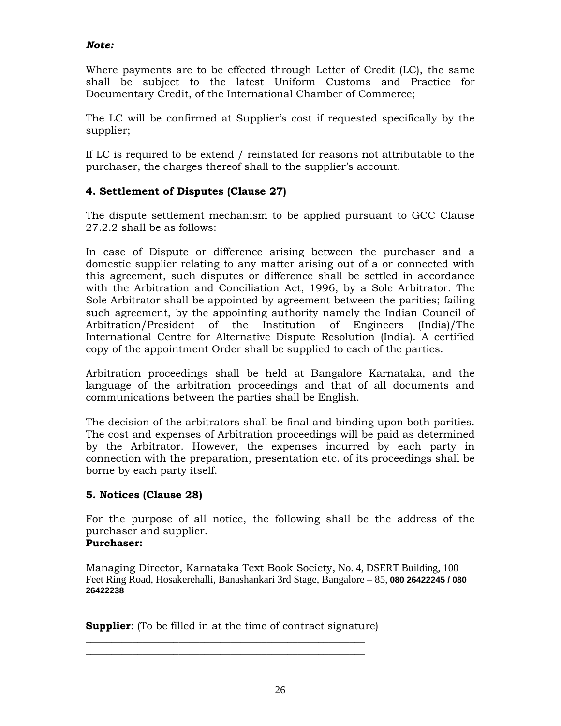# *Note:*

Where payments are to be effected through Letter of Credit (LC), the same shall be subject to the latest Uniform Customs and Practice for Documentary Credit, of the International Chamber of Commerce;

The LC will be confirmed at Supplier's cost if requested specifically by the supplier;

If LC is required to be extend / reinstated for reasons not attributable to the purchaser, the charges thereof shall to the supplier's account.

# **4. Settlement of Disputes (Clause 27)**

The dispute settlement mechanism to be applied pursuant to GCC Clause 27.2.2 shall be as follows:

In case of Dispute or difference arising between the purchaser and a domestic supplier relating to any matter arising out of a or connected with this agreement, such disputes or difference shall be settled in accordance with the Arbitration and Conciliation Act, 1996, by a Sole Arbitrator. The Sole Arbitrator shall be appointed by agreement between the parities; failing such agreement, by the appointing authority namely the Indian Council of Arbitration/President of the Institution of Engineers (India)/The International Centre for Alternative Dispute Resolution (India). A certified copy of the appointment Order shall be supplied to each of the parties.

Arbitration proceedings shall be held at Bangalore Karnataka, and the language of the arbitration proceedings and that of all documents and communications between the parties shall be English.

The decision of the arbitrators shall be final and binding upon both parities. The cost and expenses of Arbitration proceedings will be paid as determined by the Arbitrator. However, the expenses incurred by each party in connection with the preparation, presentation etc. of its proceedings shall be borne by each party itself.

# **5. Notices (Clause 28)**

For the purpose of all notice, the following shall be the address of the purchaser and supplier.

# **Purchaser:**

Managing Director, Karnataka Text Book Society, No. 4, DSERT Building, 100 Feet Ring Road, Hosakerehalli, Banashankari 3rd Stage, Bangalore – 85, **080 26422245 / 080 26422238**

**Supplier:** (To be filled in at the time of contract signature)

\_\_\_\_\_\_\_\_\_\_\_\_\_\_\_\_\_\_\_\_\_\_\_\_\_\_\_\_\_\_\_\_\_\_\_\_\_\_\_\_\_\_\_\_\_\_\_\_\_\_\_\_\_\_ \_\_\_\_\_\_\_\_\_\_\_\_\_\_\_\_\_\_\_\_\_\_\_\_\_\_\_\_\_\_\_\_\_\_\_\_\_\_\_\_\_\_\_\_\_\_\_\_\_\_\_\_\_\_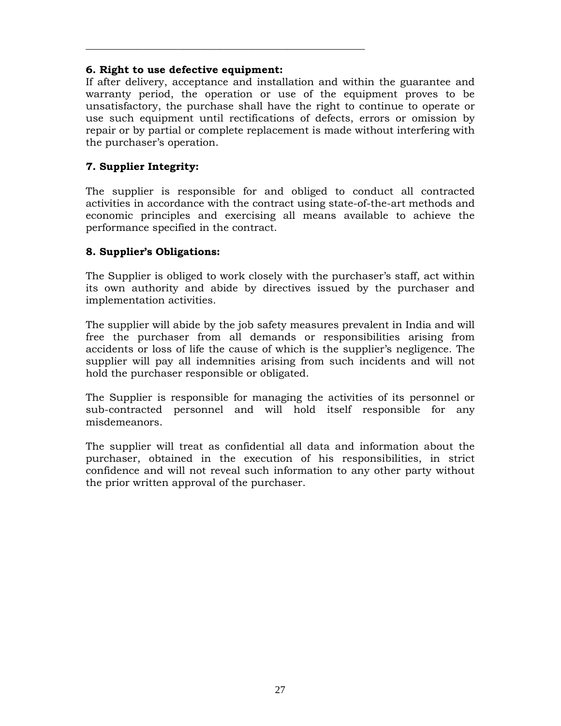## **6. Right to use defective equipment:**

\_\_\_\_\_\_\_\_\_\_\_\_\_\_\_\_\_\_\_\_\_\_\_\_\_\_\_\_\_\_\_\_\_\_\_\_\_\_\_\_\_\_\_\_\_\_\_\_\_\_\_\_\_\_

If after delivery, acceptance and installation and within the guarantee and warranty period, the operation or use of the equipment proves to be unsatisfactory, the purchase shall have the right to continue to operate or use such equipment until rectifications of defects, errors or omission by repair or by partial or complete replacement is made without interfering with the purchaser's operation.

## **7. Supplier Integrity:**

The supplier is responsible for and obliged to conduct all contracted activities in accordance with the contract using state-of-the-art methods and economic principles and exercising all means available to achieve the performance specified in the contract.

## **8. Supplier's Obligations:**

The Supplier is obliged to work closely with the purchaser's staff, act within its own authority and abide by directives issued by the purchaser and implementation activities.

The supplier will abide by the job safety measures prevalent in India and will free the purchaser from all demands or responsibilities arising from accidents or loss of life the cause of which is the supplier's negligence. The supplier will pay all indemnities arising from such incidents and will not hold the purchaser responsible or obligated.

The Supplier is responsible for managing the activities of its personnel or sub-contracted personnel and will hold itself responsible for any misdemeanors.

The supplier will treat as confidential all data and information about the purchaser, obtained in the execution of his responsibilities, in strict confidence and will not reveal such information to any other party without the prior written approval of the purchaser.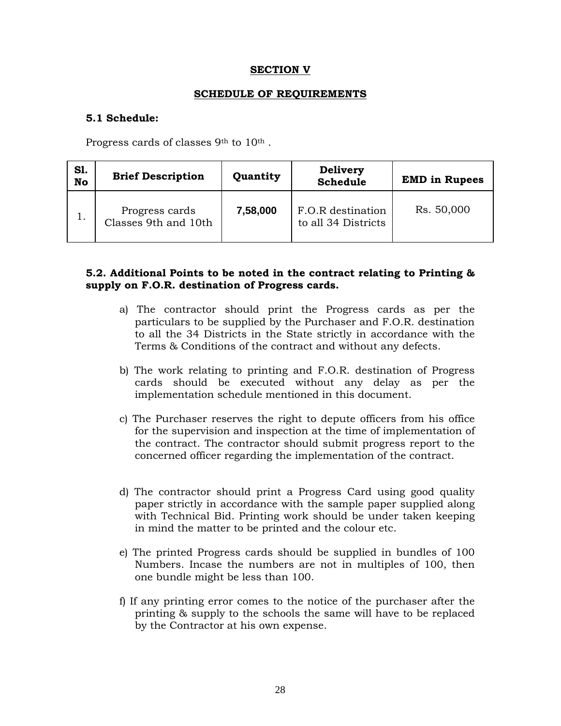### **SECTION V**

#### **SCHEDULE OF REQUIREMENTS**

#### **5.1 Schedule:**

Progress cards of classes 9<sup>th</sup> to 10<sup>th</sup>.

| <b>S1.</b><br><b>No</b> | <b>Brief Description</b>               | Quantity | <b>Delivery</b><br><b>Schedule</b>       | <b>EMD in Rupees</b> |
|-------------------------|----------------------------------------|----------|------------------------------------------|----------------------|
| 1.                      | Progress cards<br>Classes 9th and 10th | 7,58,000 | F.O.R destination<br>to all 34 Districts | Rs. 50,000           |

### **5.2. Additional Points to be noted in the contract relating to Printing & supply on F.O.R. destination of Progress cards.**

- a) The contractor should print the Progress cards as per the particulars to be supplied by the Purchaser and F.O.R. destination to all the 34 Districts in the State strictly in accordance with the Terms & Conditions of the contract and without any defects.
- b) The work relating to printing and F.O.R. destination of Progress cards should be executed without any delay as per the implementation schedule mentioned in this document.
- c) The Purchaser reserves the right to depute officers from his office for the supervision and inspection at the time of implementation of the contract. The contractor should submit progress report to the concerned officer regarding the implementation of the contract.
- d) The contractor should print a Progress Card using good quality paper strictly in accordance with the sample paper supplied along with Technical Bid. Printing work should be under taken keeping in mind the matter to be printed and the colour etc.
- e) The printed Progress cards should be supplied in bundles of 100 Numbers. Incase the numbers are not in multiples of 100, then one bundle might be less than 100.
- f) If any printing error comes to the notice of the purchaser after the printing & supply to the schools the same will have to be replaced by the Contractor at his own expense.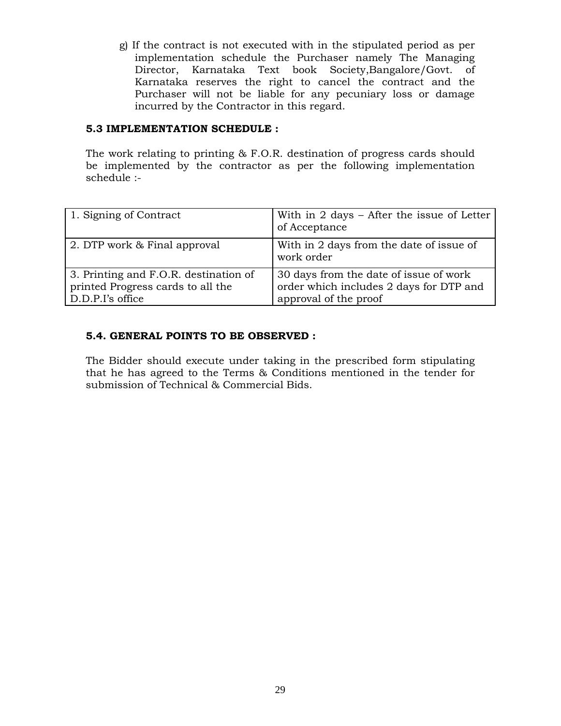g) If the contract is not executed with in the stipulated period as per implementation schedule the Purchaser namely The Managing Director, Karnataka Text book Society,Bangalore/Govt. of Karnataka reserves the right to cancel the contract and the Purchaser will not be liable for any pecuniary loss or damage incurred by the Contractor in this regard.

## **5.3 IMPLEMENTATION SCHEDULE :**

The work relating to printing & F.O.R. destination of progress cards should be implemented by the contractor as per the following implementation schedule :-

| 1. Signing of Contract                                                                         | With in $2$ days $-$ After the issue of Letter<br>of Acceptance                                            |
|------------------------------------------------------------------------------------------------|------------------------------------------------------------------------------------------------------------|
| 2. DTP work & Final approval                                                                   | With in 2 days from the date of issue of<br>work order                                                     |
| 3. Printing and F.O.R. destination of<br>printed Progress cards to all the<br>D.D.P.I's office | 30 days from the date of issue of work<br>order which includes 2 days for DTP and<br>approval of the proof |

## **5.4. GENERAL POINTS TO BE OBSERVED :**

The Bidder should execute under taking in the prescribed form stipulating that he has agreed to the Terms & Conditions mentioned in the tender for submission of Technical & Commercial Bids.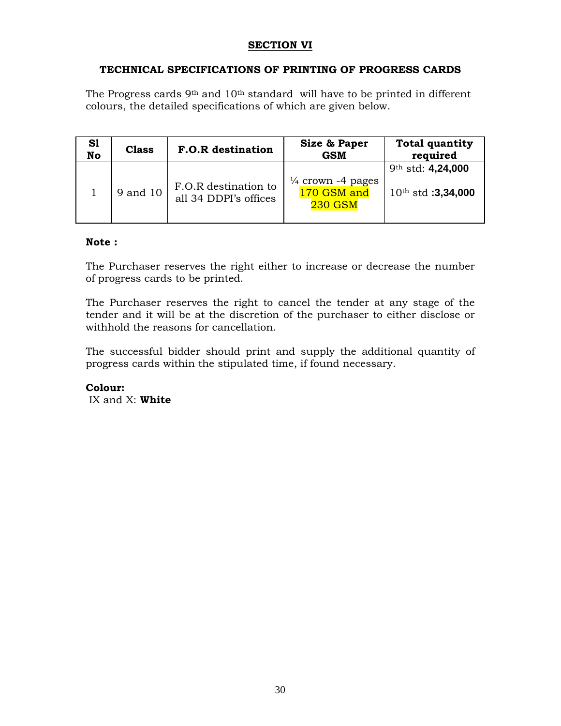## **SECTION VI**

## **TECHNICAL SPECIFICATIONS OF PRINTING OF PROGRESS CARDS**

The Progress cards  $9<sup>th</sup>$  and  $10<sup>th</sup>$  standard will have to be printed in different colours, the detailed specifications of which are given below.

| S1<br>No | <b>Class</b> | <b>F.O.R</b> destination                      | Size & Paper<br><b>GSM</b>                                    | <b>Total quantity</b><br>required            |
|----------|--------------|-----------------------------------------------|---------------------------------------------------------------|----------------------------------------------|
|          | 9 and 10     | F.O.R destination to<br>all 34 DDPI's offices | $\frac{1}{4}$ crown -4 pages<br>170 GSM and<br><b>230 GSM</b> | 9th std: 4,24,000<br>$10^{th}$ std: 3,34,000 |

### **Note :**

The Purchaser reserves the right either to increase or decrease the number of progress cards to be printed.

The Purchaser reserves the right to cancel the tender at any stage of the tender and it will be at the discretion of the purchaser to either disclose or withhold the reasons for cancellation.

The successful bidder should print and supply the additional quantity of progress cards within the stipulated time, if found necessary.

**Colour:**  IX and X: **White**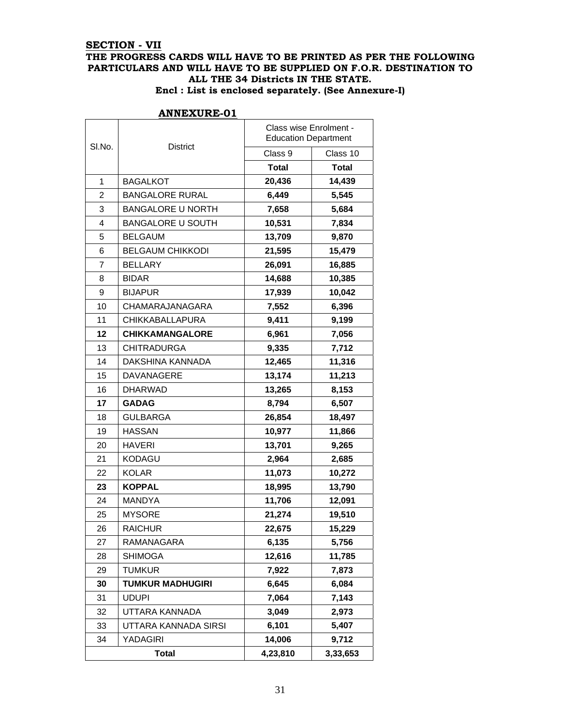## **SECTION - VII THE PROGRESS CARDS WILL HAVE TO BE PRINTED AS PER THE FOLLOWING PARTICULARS AND WILL HAVE TO BE SUPPLIED ON F.O.R. DESTINATION TO ALL THE 34 Districts IN THE STATE.**

|  |  |  | Encl : List is enclosed separately. (See Annexure-I) |
|--|--|--|------------------------------------------------------|
|--|--|--|------------------------------------------------------|

|        |                          | Class wise Enrolment -<br><b>Education Department</b> |              |  |
|--------|--------------------------|-------------------------------------------------------|--------------|--|
| SI.No. | <b>District</b>          | Class 9                                               | Class 10     |  |
|        |                          | <b>Total</b>                                          | <b>Total</b> |  |
| 1      | <b>BAGALKOT</b>          | 20,436                                                | 14,439       |  |
| 2      | <b>BANGALORE RURAL</b>   | 6,449                                                 | 5,545        |  |
| 3      | <b>BANGALORE U NORTH</b> | 7,658                                                 | 5,684        |  |
| 4      | <b>BANGALORE U SOUTH</b> | 10,531                                                | 7,834        |  |
| 5      | <b>BELGAUM</b>           | 13,709                                                | 9,870        |  |
| 6      | <b>BELGAUM CHIKKODI</b>  | 21,595                                                | 15,479       |  |
| 7      | <b>BELLARY</b>           | 26,091                                                | 16,885       |  |
| 8      | <b>BIDAR</b>             | 14,688                                                | 10,385       |  |
| 9      | <b>BIJAPUR</b>           | 17,939                                                | 10,042       |  |
| 10     | CHAMARAJANAGARA          | 7,552                                                 | 6,396        |  |
| 11     | <b>CHIKKABALLAPURA</b>   | 9,411                                                 | 9,199        |  |
| 12     | <b>CHIKKAMANGALORE</b>   | 6,961                                                 | 7,056        |  |
| 13     | <b>CHITRADURGA</b>       | 9,335                                                 | 7,712        |  |
| 14     | DAKSHINA KANNADA         | 12,465                                                | 11,316       |  |
| 15     | DAVANAGERE               | 13,174                                                | 11,213       |  |
| 16     | <b>DHARWAD</b>           | 13,265                                                | 8,153        |  |
| 17     | <b>GADAG</b>             | 8,794                                                 | 6,507        |  |
| 18     | <b>GULBARGA</b>          | 26,854                                                | 18,497       |  |
| 19     | <b>HASSAN</b>            | 10,977                                                | 11,866       |  |
| 20     | <b>HAVERI</b>            | 13,701                                                | 9,265        |  |
| 21     | <b>KODAGU</b>            | 2,964                                                 | 2,685        |  |
| 22     | <b>KOLAR</b>             | 11,073                                                | 10,272       |  |
| 23     | <b>KOPPAL</b>            | 18,995                                                | 13,790       |  |
| 24     | MANDYA                   | 11,706                                                | 12,091       |  |
| 25     | <b>MYSORE</b>            | 21,274                                                | 19,510       |  |
| 26     | <b>RAICHUR</b>           | 22,675                                                | 15,229       |  |
| 27     | RAMANAGARA               | 6,135                                                 | 5,756        |  |
| 28     | <b>SHIMOGA</b>           | 12,616                                                | 11,785       |  |
| 29     | <b>TUMKUR</b>            | 7,922                                                 | 7,873        |  |
| 30     | <b>TUMKUR MADHUGIRI</b>  | 6,645                                                 | 6,084        |  |
| 31     | <b>UDUPI</b>             | 7,064                                                 | 7,143        |  |
| 32     | UTTARA KANNADA           | 3,049                                                 | 2,973        |  |
| 33     | UTTARA KANNADA SIRSI     | 6,101                                                 | 5,407        |  |
| 34     | YADAGIRI                 | 14,006                                                | 9,712        |  |
|        | <b>Total</b>             | 4,23,810                                              | 3,33,653     |  |

#### **ANNEXURE-01**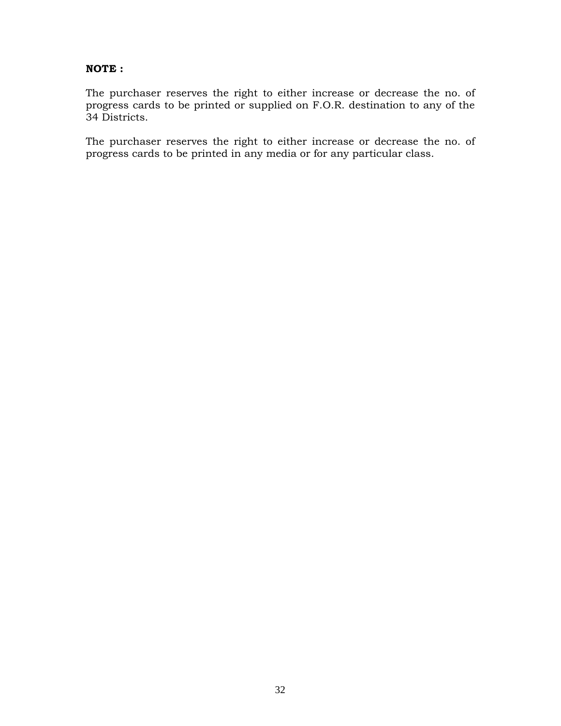## **NOTE :**

The purchaser reserves the right to either increase or decrease the no. of progress cards to be printed or supplied on F.O.R. destination to any of the 34 Districts.

The purchaser reserves the right to either increase or decrease the no. of progress cards to be printed in any media or for any particular class.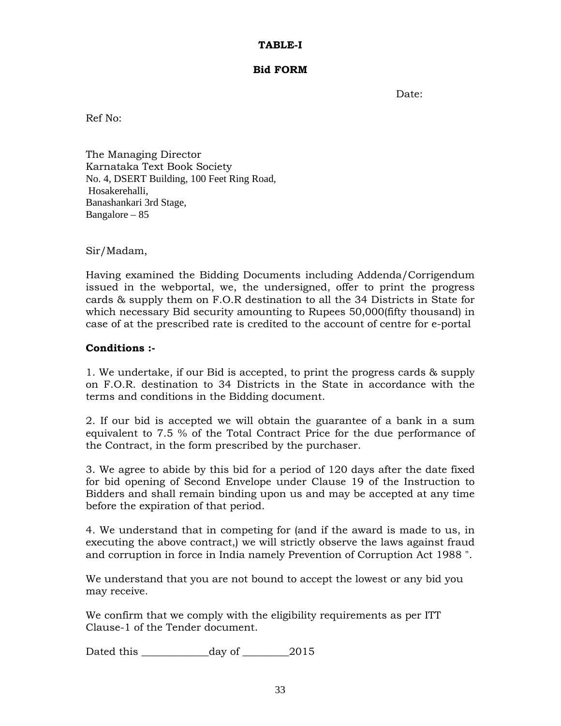### **TABLE-I**

#### **Bid FORM**

Date:

Ref No:

The Managing Director Karnataka Text Book Society No. 4, DSERT Building, 100 Feet Ring Road, Hosakerehalli, Banashankari 3rd Stage, Bangalore – 85

Sir/Madam,

Having examined the Bidding Documents including Addenda/Corrigendum issued in the webportal, we, the undersigned, offer to print the progress cards & supply them on F.O.R destination to all the 34 Districts in State for which necessary Bid security amounting to Rupees 50,000(fifty thousand) in case of at the prescribed rate is credited to the account of centre for e-portal

## **Conditions :-**

1. We undertake, if our Bid is accepted, to print the progress cards & supply on F.O.R. destination to 34 Districts in the State in accordance with the terms and conditions in the Bidding document.

2. If our bid is accepted we will obtain the guarantee of a bank in a sum equivalent to 7.5 % of the Total Contract Price for the due performance of the Contract, in the form prescribed by the purchaser.

3. We agree to abide by this bid for a period of 120 days after the date fixed for bid opening of Second Envelope under Clause 19 of the Instruction to Bidders and shall remain binding upon us and may be accepted at any time before the expiration of that period.

4. We understand that in competing for (and if the award is made to us, in executing the above contract,) we will strictly observe the laws against fraud and corruption in force in India namely Prevention of Corruption Act 1988 ".

We understand that you are not bound to accept the lowest or any bid you may receive.

We confirm that we comply with the eligibility requirements as per ITT Clause-1 of the Tender document.

Dated this day of 2015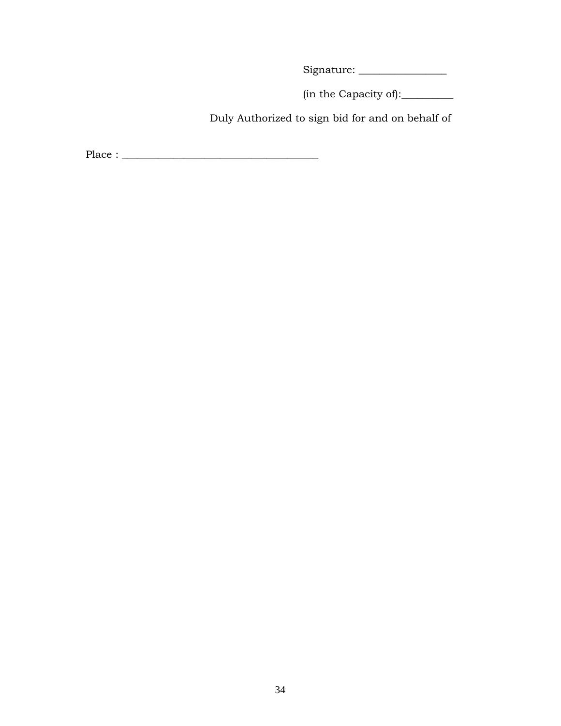Signature: \_\_\_\_\_\_\_\_\_\_\_\_\_\_\_\_\_

(in the Capacity of):\_\_\_\_\_\_\_\_\_\_

Duly Authorized to sign bid for and on behalf of

Place : \_\_\_\_\_\_\_\_\_\_\_\_\_\_\_\_\_\_\_\_\_\_\_\_\_\_\_\_\_\_\_\_\_\_\_\_\_\_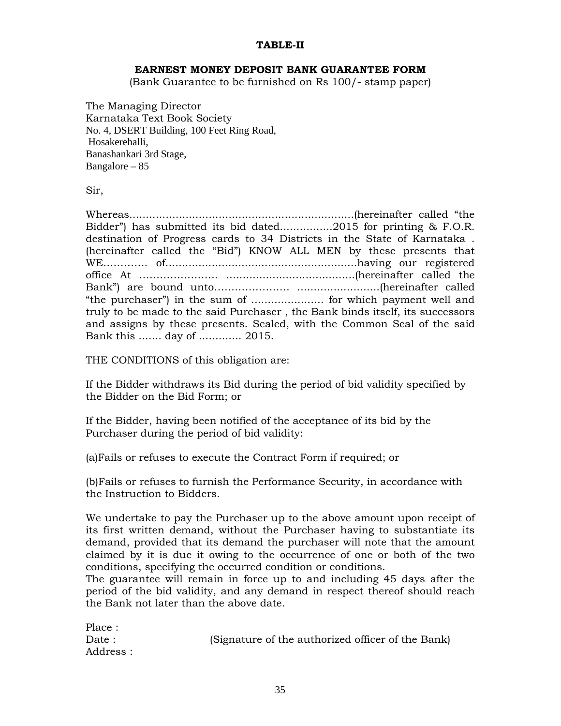### **TABLE-II**

#### **EARNEST MONEY DEPOSIT BANK GUARANTEE FORM**

(Bank Guarantee to be furnished on Rs 100/- stamp paper)

The Managing Director Karnataka Text Book Society No. 4, DSERT Building, 100 Feet Ring Road, Hosakerehalli, Banashankari 3rd Stage, Bangalore – 85

Sir,

Whereas....................................................................(hereinafter called "the Bidder") has submitted its bid dated................2015 for printing & F.O.R. destination of Progress cards to 34 Districts in the State of Karnataka . (hereinafter called the "Bid") KNOW ALL MEN by these presents that WE…………. of..........................................................having our registered office At ………………….. .......................................(hereinafter called the Bank") are bound unto…………………. .........................(hereinafter called "the purchaser") in the sum of ...................... for which payment well and truly to be made to the said Purchaser , the Bank binds itself, its successors and assigns by these presents. Sealed, with the Common Seal of the said Bank this ....... day of ............. 2015.

THE CONDITIONS of this obligation are:

If the Bidder withdraws its Bid during the period of bid validity specified by the Bidder on the Bid Form; or

If the Bidder, having been notified of the acceptance of its bid by the Purchaser during the period of bid validity:

(a)Fails or refuses to execute the Contract Form if required; or

(b)Fails or refuses to furnish the Performance Security, in accordance with the Instruction to Bidders.

We undertake to pay the Purchaser up to the above amount upon receipt of its first written demand, without the Purchaser having to substantiate its demand, provided that its demand the purchaser will note that the amount claimed by it is due it owing to the occurrence of one or both of the two conditions, specifying the occurred condition or conditions.

The guarantee will remain in force up to and including 45 days after the period of the bid validity, and any demand in respect thereof should reach the Bank not later than the above date.

| Place:    |                                                   |
|-----------|---------------------------------------------------|
| Date:     | (Signature of the authorized officer of the Bank) |
| Address : |                                                   |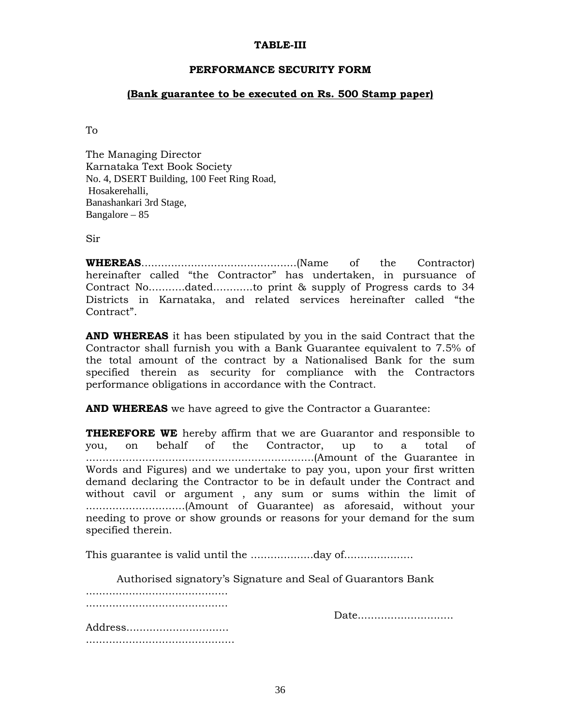#### **TABLE-III**

#### **PERFORMANCE SECURITY FORM**

#### **(Bank guarantee to be executed on Rs. 500 Stamp paper)**

To

The Managing Director Karnataka Text Book Society No. 4, DSERT Building, 100 Feet Ring Road, Hosakerehalli, Banashankari 3rd Stage, Bangalore – 85

Sir

**WHEREAS**...............................................(Name of the Contractor) hereinafter called "the Contractor" has undertaken, in pursuance of Contract No...........dated............to print & supply of Progress cards to 34 Districts in Karnataka, and related services hereinafter called "the Contract".

**AND WHEREAS** it has been stipulated by you in the said Contract that the Contractor shall furnish you with a Bank Guarantee equivalent to 7.5% of the total amount of the contract by a Nationalised Bank for the sum specified therein as security for compliance with the Contractors performance obligations in accordance with the Contract.

**AND WHEREAS** we have agreed to give the Contractor a Guarantee:

**THEREFORE WE** hereby affirm that we are Guarantor and responsible to you, on behalf of the Contractor, up to a total of .....................................................................(Amount of the Guarantee in Words and Figures) and we undertake to pay you, upon your first written demand declaring the Contractor to be in default under the Contract and without cavil or argument , any sum or sums within the limit of ..............................(Amount of Guarantee) as aforesaid, without your needing to prove or show grounds or reasons for your demand for the sum specified therein.

This guarantee is valid until the ...................day of.....................

 Authorised signatory's Signature and Seal of Guarantors Bank ........................................... ........................................... Date................................ Address...............................

.............................................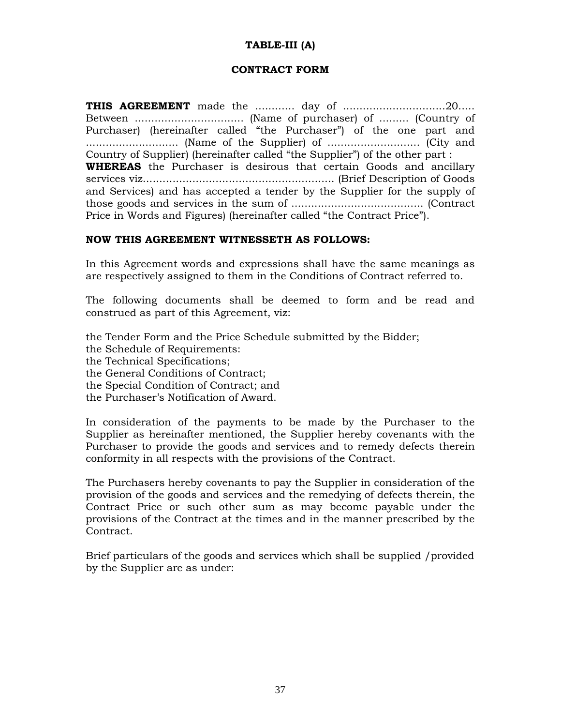## **TABLE-III (A)**

### **CONTRACT FORM**

**THIS AGREEMENT** made the ............ day of ...............................20..... Between ................................. (Name of purchaser) of ......... (Country of Purchaser) (hereinafter called "the Purchaser") of the one part and ............................ (Name of the Supplier) of ............................ (City and Country of Supplier) (hereinafter called "the Supplier") of the other part : **WHEREAS** the Purchaser is desirous that certain Goods and ancillary services viz.......................................................... (Brief Description of Goods and Services) and has accepted a tender by the Supplier for the supply of those goods and services in the sum of ........................................ (Contract Price in Words and Figures) (hereinafter called "the Contract Price").

## **NOW THIS AGREEMENT WITNESSETH AS FOLLOWS:**

In this Agreement words and expressions shall have the same meanings as are respectively assigned to them in the Conditions of Contract referred to.

The following documents shall be deemed to form and be read and construed as part of this Agreement, viz:

the Tender Form and the Price Schedule submitted by the Bidder; the Schedule of Requirements: the Technical Specifications; the General Conditions of Contract; the Special Condition of Contract; and the Purchaser's Notification of Award.

In consideration of the payments to be made by the Purchaser to the Supplier as hereinafter mentioned, the Supplier hereby covenants with the Purchaser to provide the goods and services and to remedy defects therein conformity in all respects with the provisions of the Contract.

The Purchasers hereby covenants to pay the Supplier in consideration of the provision of the goods and services and the remedying of defects therein, the Contract Price or such other sum as may become payable under the provisions of the Contract at the times and in the manner prescribed by the Contract.

Brief particulars of the goods and services which shall be supplied /provided by the Supplier are as under: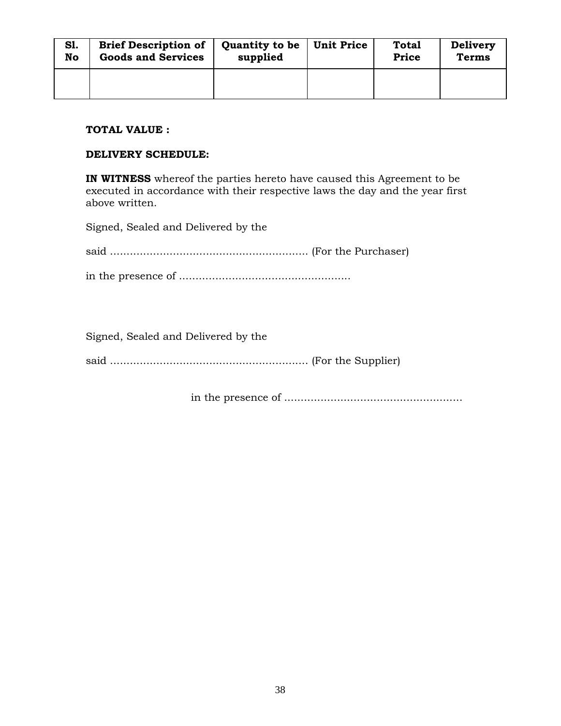| <b>S1.</b> | <b>Brief Description of</b> | <b>Quantity to be</b> | <b>Unit Price</b> | <b>Total</b> | <b>Delivery</b> |
|------------|-----------------------------|-----------------------|-------------------|--------------|-----------------|
| No         | <b>Goods and Services</b>   | supplied              |                   | <b>Price</b> | <b>Terms</b>    |
|            |                             |                       |                   |              |                 |

### **TOTAL VALUE :**

#### **DELIVERY SCHEDULE:**

**IN WITNESS** whereof the parties hereto have caused this Agreement to be executed in accordance with their respective laws the day and the year first above written.

Signed, Sealed and Delivered by the

Signed, Sealed and Delivered by the

said ............................................................ (For the Supplier)

in the presence of ......................................................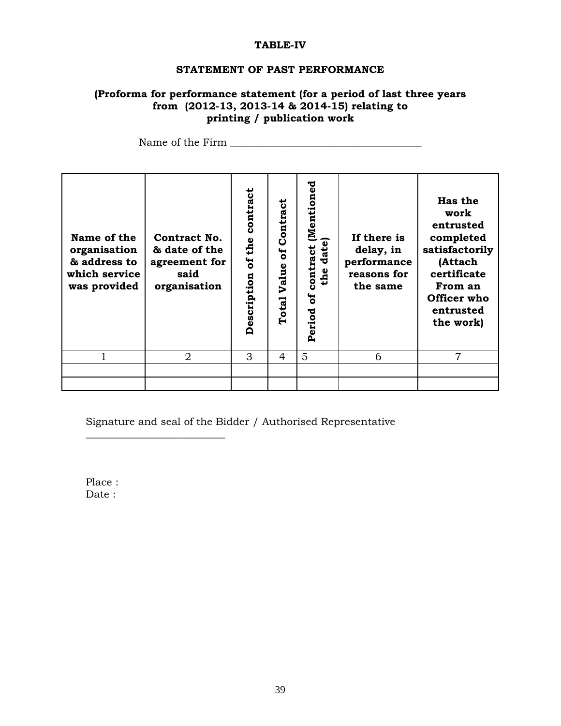### **TABLE-IV**

#### **STATEMENT OF PAST PERFORMANCE**

## **(Proforma for performance statement (for a period of last three years from (2012-13, 2013-14 & 2014-15) relating to printing / publication work**

Name of the Firm  $\Box$ 

| Name of the<br>organisation<br>& address to<br>which service<br>was provided | Contract No.<br>& date of the<br>agreement for<br>said<br>organisation | contract<br>of the<br>Description | Contract<br>៩<br>Value<br>Total | [Mentioned<br>date)<br>contract<br>the<br>ន<br>Period | If there is<br>delay, in<br>performance<br>reasons for<br>the same | <b>Has the</b><br>work<br>entrusted<br>completed<br>satisfactorily<br>(Attach<br>certificate<br>From an<br>Officer who<br>entrusted<br>the work) |
|------------------------------------------------------------------------------|------------------------------------------------------------------------|-----------------------------------|---------------------------------|-------------------------------------------------------|--------------------------------------------------------------------|--------------------------------------------------------------------------------------------------------------------------------------------------|
|                                                                              | $\overline{2}$                                                         | 3                                 | 4                               | 5                                                     | 6                                                                  | $\overline{7}$                                                                                                                                   |
|                                                                              |                                                                        |                                   |                                 |                                                       |                                                                    |                                                                                                                                                  |
|                                                                              |                                                                        |                                   |                                 |                                                       |                                                                    |                                                                                                                                                  |

Signature and seal of the Bidder / Authorised Representative

Place : Date :

\_\_\_\_\_\_\_\_\_\_\_\_\_\_\_\_\_\_\_\_\_\_\_\_\_\_\_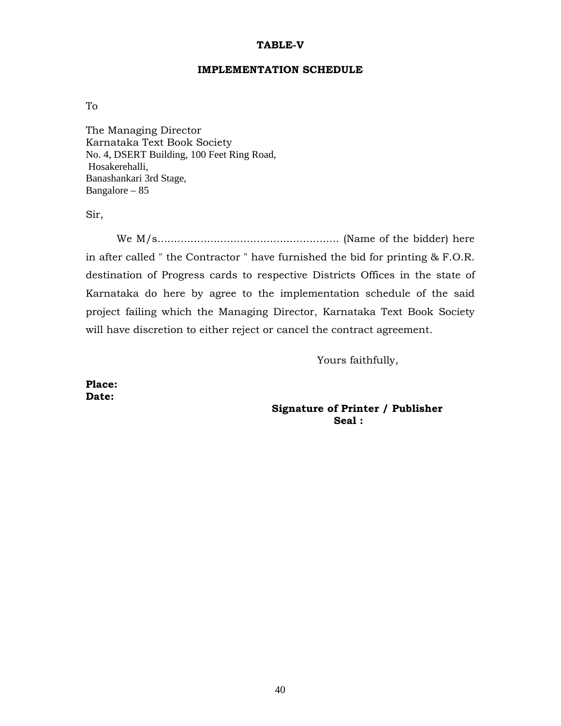#### **TABLE-V**

#### **IMPLEMENTATION SCHEDULE**

To

The Managing Director Karnataka Text Book Society No. 4, DSERT Building, 100 Feet Ring Road, Hosakerehalli, Banashankari 3rd Stage, Bangalore – 85

Sir,

We M/s....................................................... (Name of the bidder) here in after called " the Contractor " have furnished the bid for printing & F.O.R. destination of Progress cards to respective Districts Offices in the state of Karnataka do here by agree to the implementation schedule of the said project failing which the Managing Director, Karnataka Text Book Society will have discretion to either reject or cancel the contract agreement.

Yours faithfully,

**Place: Date:** 

 **Signature of Printer / Publisher Seal : Seal :**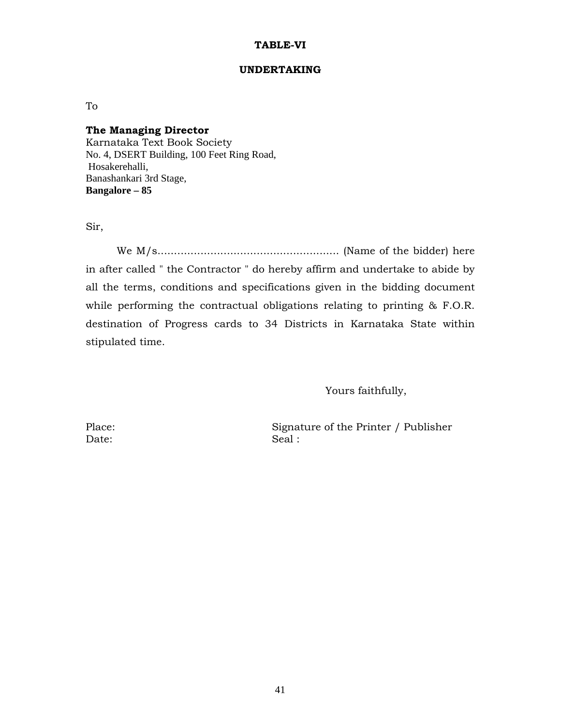#### **TABLE-VI**

#### **UNDERTAKING**

To

#### **The Managing Director**

Karnataka Text Book Society No. 4, DSERT Building, 100 Feet Ring Road, Hosakerehalli, Banashankari 3rd Stage, **Bangalore – 85** 

Sir,

We M/s....................................................... (Name of the bidder) here in after called " the Contractor " do hereby affirm and undertake to abide by all the terms, conditions and specifications given in the bidding document while performing the contractual obligations relating to printing & F.O.R. destination of Progress cards to 34 Districts in Karnataka State within stipulated time.

Yours faithfully,

Date: Seal :

Place: Signature of the Printer / Publisher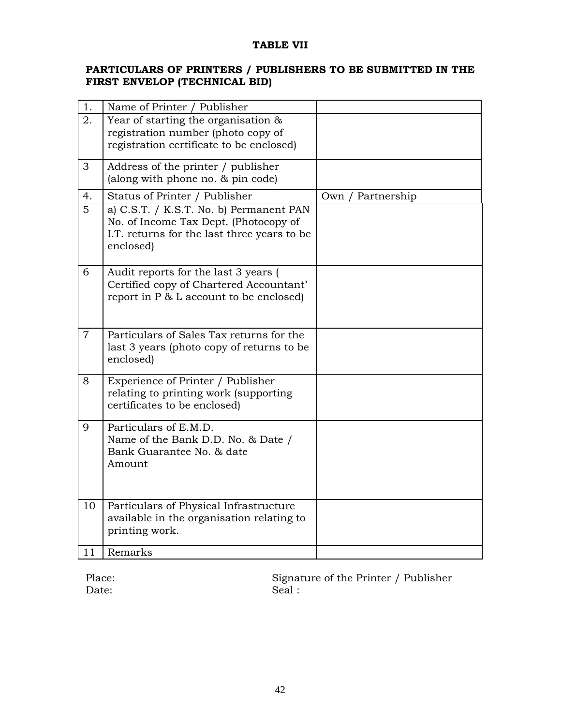## **TABLE VII**

## **PARTICULARS OF PRINTERS / PUBLISHERS TO BE SUBMITTED IN THE FIRST ENVELOP (TECHNICAL BID)**

| 1.             | Name of Printer / Publisher                                                                                                                  |                    |
|----------------|----------------------------------------------------------------------------------------------------------------------------------------------|--------------------|
| 2.             | Year of starting the organisation &<br>registration number (photo copy of<br>registration certificate to be enclosed)                        |                    |
| 3              | Address of the printer / publisher<br>(along with phone no. $&$ pin code)                                                                    |                    |
| 4.             | Status of Printer / Publisher                                                                                                                | Own<br>Partnership |
| $\overline{5}$ | a) C.S.T. / K.S.T. No. b) Permanent PAN<br>No. of Income Tax Dept. (Photocopy of<br>I.T. returns for the last three years to be<br>enclosed) |                    |
| 6              | Audit reports for the last 3 years (<br>Certified copy of Chartered Accountant'<br>report in P & L account to be enclosed)                   |                    |
| $\overline{7}$ | Particulars of Sales Tax returns for the<br>last 3 years (photo copy of returns to be<br>enclosed)                                           |                    |
| 8              | Experience of Printer / Publisher<br>relating to printing work (supporting<br>certificates to be enclosed)                                   |                    |
| 9              | Particulars of E.M.D.<br>Name of the Bank D.D. No. & Date /<br>Bank Guarantee No. & date<br>Amount                                           |                    |
| 10             | Particulars of Physical Infrastructure<br>available in the organisation relating to<br>printing work.                                        |                    |
| 11             | Remarks                                                                                                                                      |                    |

Date: Seal :

Place: Signature of the Printer / Publisher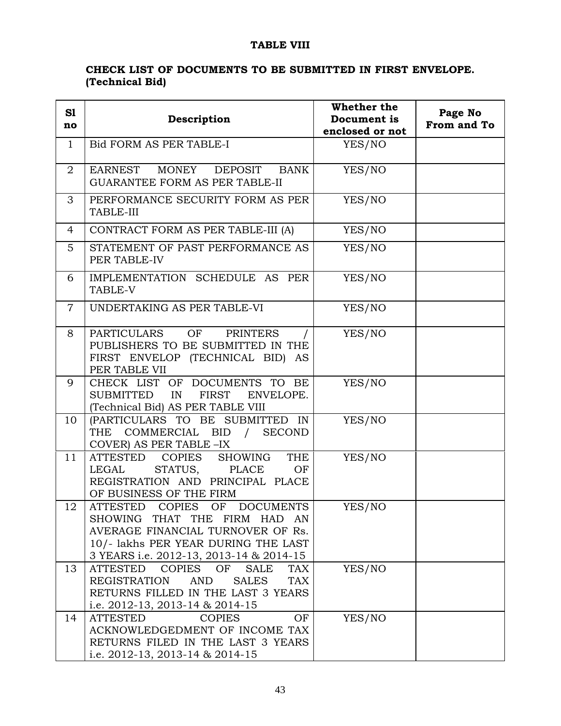# **TABLE VIII**

# **CHECK LIST OF DOCUMENTS TO BE SUBMITTED IN FIRST ENVELOPE. (Technical Bid)**

| S1             | Description                                                                                                                                                                                                | Whether the<br>Document is | Page No<br>From and To |
|----------------|------------------------------------------------------------------------------------------------------------------------------------------------------------------------------------------------------------|----------------------------|------------------------|
| no             |                                                                                                                                                                                                            | enclosed or not            |                        |
| $\mathbf{1}$   | Bid FORM AS PER TABLE-I                                                                                                                                                                                    | YES/NO                     |                        |
| $\overline{2}$ | EARNEST<br>MONEY<br>DEPOSIT<br>BANK<br><b>GUARANTEE FORM AS PER TABLE-II</b>                                                                                                                               | YES/NO                     |                        |
| 3              | PERFORMANCE SECURITY FORM AS PER<br>TABLE-III                                                                                                                                                              | YES/NO                     |                        |
| 4              | CONTRACT FORM AS PER TABLE-III (A)                                                                                                                                                                         | YES/NO                     |                        |
| $5^{\circ}$    | STATEMENT OF PAST PERFORMANCE AS<br>PER TABLE-IV                                                                                                                                                           | YES/NO                     |                        |
| 6              | IMPLEMENTATION SCHEDULE AS PER<br>TABLE-V                                                                                                                                                                  | YES/NO                     |                        |
| $\overline{7}$ | UNDERTAKING AS PER TABLE-VI                                                                                                                                                                                | YES/NO                     |                        |
| 8              | PARTICULARS<br>OF<br><b>PRINTERS</b><br>PUBLISHERS TO BE SUBMITTED IN THE<br>FIRST ENVELOP (TECHNICAL BID) AS<br>PER TABLE VII                                                                             | YES/NO                     |                        |
| 9              | CHECK LIST OF DOCUMENTS TO BE<br>SUBMITTED<br>IN<br>FIRST<br>ENVELOPE.<br>(Technical Bid) AS PER TABLE VIII                                                                                                | YES/NO                     |                        |
| 10             | (PARTICULARS TO BE SUBMITTED IN<br>THE COMMERCIAL BID /<br><b>SECOND</b><br>COVER) AS PER TABLE -IX                                                                                                        | YES/NO                     |                        |
| 11             | SHOWING<br>ATTESTED COPIES<br>THE<br>LEGAL<br>STATUS,<br>PLACE<br>OF<br>REGISTRATION AND PRINCIPAL PLACE<br>OF BUSINESS OF THE FIRM                                                                        | YES/NO                     |                        |
| 12             | ATTESTED<br><b>COPIES</b><br><b>DOCUMENTS</b><br>OF<br>SHOWING THAT THE FIRM HAD AN<br>AVERAGE FINANCIAL TURNOVER OF Rs.<br>10/- lakhs PER YEAR DURING THE LAST<br>3 YEARS i.e. 2012-13, 2013-14 & 2014-15 | YES/NO                     |                        |
| 13             | <b>ATTESTED</b><br><b>COPIES</b><br>OF<br>TAX<br><b>SALE</b><br><b>REGISTRATION</b><br><b>AND</b><br><b>SALES</b><br><b>TAX</b><br>RETURNS FILLED IN THE LAST 3 YEARS<br>i.e. 2012-13, 2013-14 & 2014-15   | YES/NO                     |                        |
| 14             | <b>ATTESTED</b><br><b>COPIES</b><br>OF<br>ACKNOWLEDGEDMENT OF INCOME TAX<br>RETURNS FILED IN THE LAST 3 YEARS<br>i.e. 2012-13, 2013-14 & 2014-15                                                           | YES/NO                     |                        |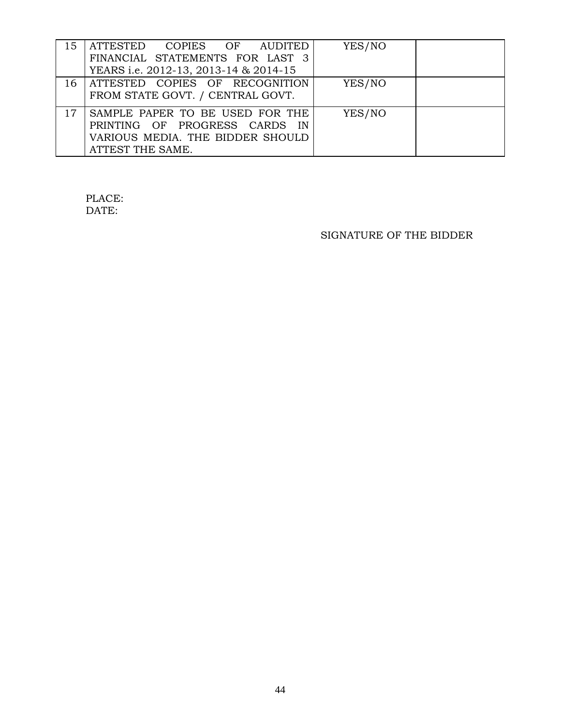| 15 | ATTESTED COPIES OF AUDITED<br>FINANCIAL STATEMENTS FOR LAST 3<br>YEARS i.e. 2012-13, 2013-14 & 2014-15                   | YES/NO |  |
|----|--------------------------------------------------------------------------------------------------------------------------|--------|--|
| 16 | ATTESTED COPIES OF RECOGNITION<br>FROM STATE GOVT. / CENTRAL GOVT.                                                       | YES/NO |  |
| 17 | SAMPLE PAPER TO BE USED FOR THE<br>PRINTING OF PROGRESS CARDS IN<br>VARIOUS MEDIA. THE BIDDER SHOULD<br>ATTEST THE SAME. | YES/NO |  |

# PLACE: DATE:

# SIGNATURE OF THE BIDDER